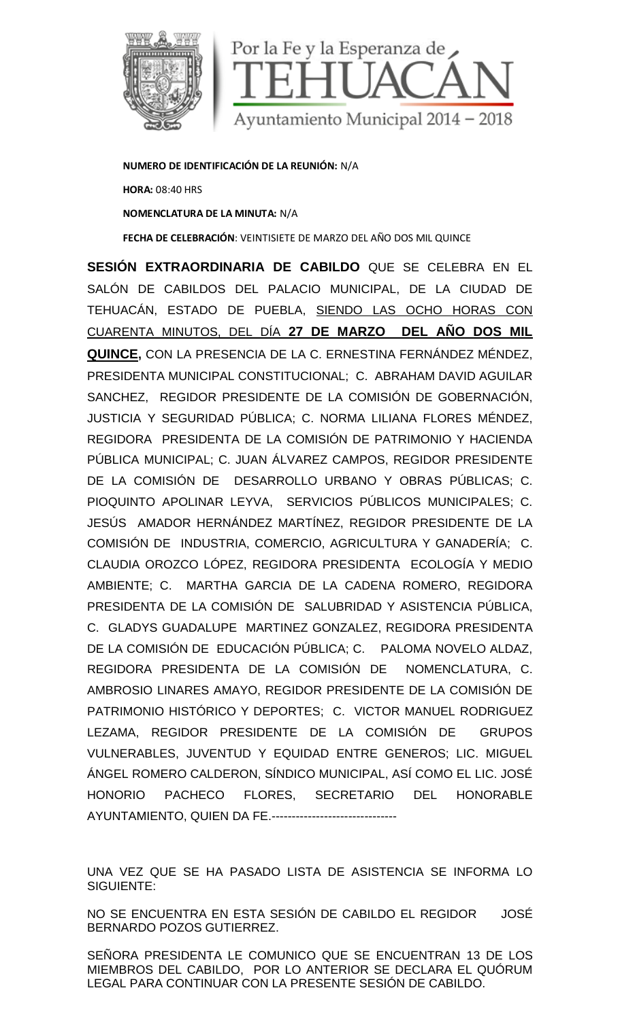

**NUMERO DE IDENTIFICACIÓN DE LA REUNIÓN:** N/A **HORA:** 08:40 HRS **NOMENCLATURA DE LA MINUTA:** N/A **FECHA DE CELEBRACIÓN**: VEINTISIETE DE MARZO DEL AÑO DOS MIL QUINCE

**SESIÓN EXTRAORDINARIA DE CABILDO** QUE SE CELEBRA EN EL SALÓN DE CABILDOS DEL PALACIO MUNICIPAL, DE LA CIUDAD DE TEHUACÁN, ESTADO DE PUEBLA, SIENDO LAS OCHO HORAS CON CUARENTA MINUTOS, DEL DÍA **27 DE MARZO DEL AÑO DOS MIL QUINCE,** CON LA PRESENCIA DE LA C. ERNESTINA FERNÁNDEZ MÉNDEZ, PRESIDENTA MUNICIPAL CONSTITUCIONAL; C. ABRAHAM DAVID AGUILAR SANCHEZ, REGIDOR PRESIDENTE DE LA COMISIÓN DE GOBERNACIÓN, JUSTICIA Y SEGURIDAD PÚBLICA; C. NORMA LILIANA FLORES MÉNDEZ, REGIDORA PRESIDENTA DE LA COMISIÓN DE PATRIMONIO Y HACIENDA PÚBLICA MUNICIPAL; C. JUAN ÁLVAREZ CAMPOS, REGIDOR PRESIDENTE DE LA COMISIÓN DE DESARROLLO URBANO Y OBRAS PÚBLICAS; C. PIOQUINTO APOLINAR LEYVA, SERVICIOS PÚBLICOS MUNICIPALES; C. JESÚS AMADOR HERNÁNDEZ MARTÍNEZ, REGIDOR PRESIDENTE DE LA COMISIÓN DE INDUSTRIA, COMERCIO, AGRICULTURA Y GANADERÍA; C. CLAUDIA OROZCO LÓPEZ, REGIDORA PRESIDENTA ECOLOGÍA Y MEDIO AMBIENTE; C. MARTHA GARCIA DE LA CADENA ROMERO, REGIDORA PRESIDENTA DE LA COMISIÓN DE SALUBRIDAD Y ASISTENCIA PÚBLICA, C. GLADYS GUADALUPE MARTINEZ GONZALEZ, REGIDORA PRESIDENTA DE LA COMISIÓN DE EDUCACIÓN PÚBLICA; C. PALOMA NOVELO ALDAZ, REGIDORA PRESIDENTA DE LA COMISIÓN DE NOMENCLATURA, C. AMBROSIO LINARES AMAYO, REGIDOR PRESIDENTE DE LA COMISIÓN DE PATRIMONIO HISTÓRICO Y DEPORTES; C. VICTOR MANUEL RODRIGUEZ LEZAMA, REGIDOR PRESIDENTE DE LA COMISIÓN DE GRUPOS VULNERABLES, JUVENTUD Y EQUIDAD ENTRE GENEROS; LIC. MIGUEL ÁNGEL ROMERO CALDERON, SÍNDICO MUNICIPAL, ASÍ COMO EL LIC. JOSÉ HONORIO PACHECO FLORES, SECRETARIO DEL HONORABLE AYUNTAMIENTO, QUIEN DA FE.-------------------------------

UNA VEZ QUE SE HA PASADO LISTA DE ASISTENCIA SE INFORMA LO SIGUIENTE:

NO SE ENCUENTRA EN ESTA SESIÓN DE CABILDO EL REGIDOR JOSÉ BERNARDO POZOS GUTIERREZ.

SEÑORA PRESIDENTA LE COMUNICO QUE SE ENCUENTRAN 13 DE LOS MIEMBROS DEL CABILDO, POR LO ANTERIOR SE DECLARA EL QUÓRUM LEGAL PARA CONTINUAR CON LA PRESENTE SESIÓN DE CABILDO.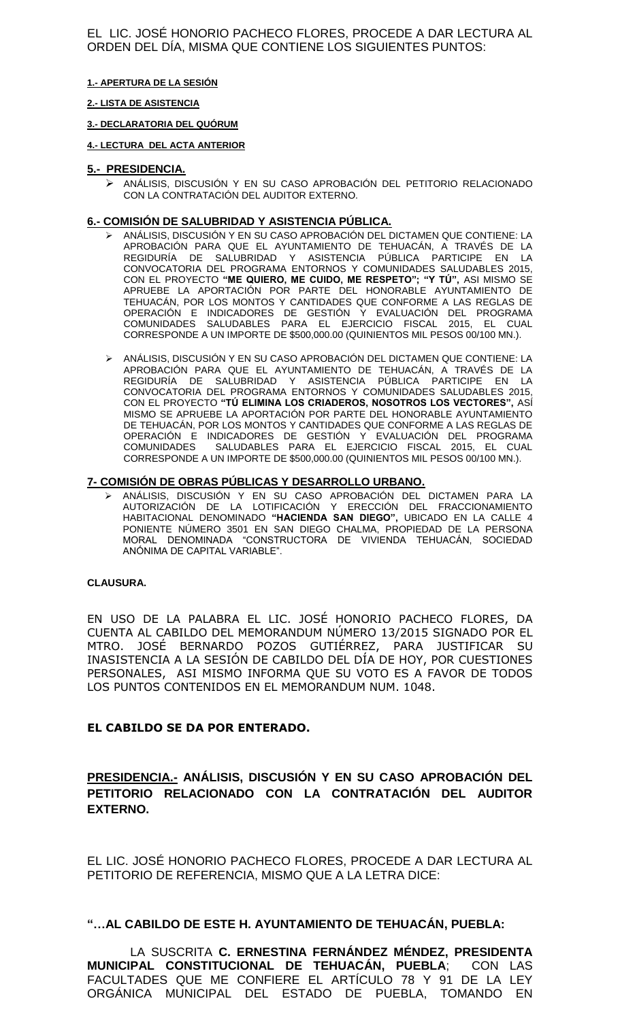EL LIC. JOSÉ HONORIO PACHECO FLORES, PROCEDE A DAR LECTURA AL ORDEN DEL DÍA, MISMA QUE CONTIENE LOS SIGUIENTES PUNTOS:

#### **1.- APERTURA DE LA SESIÓN**

#### **2.- LISTA DE ASISTENCIA**

#### **3.- DECLARATORIA DEL QUÓRUM**

#### **4.- LECTURA DEL ACTA ANTERIOR**

#### **5.- PRESIDENCIA.**

 ANÁLISIS, DISCUSIÓN Y EN SU CASO APROBACIÓN DEL PETITORIO RELACIONADO CON LA CONTRATACIÓN DEL AUDITOR EXTERNO.

#### **6.- COMISIÓN DE SALUBRIDAD Y ASISTENCIA PÚBLICA.**

- ANÁLISIS, DISCUSIÓN Y EN SU CASO APROBACIÓN DEL DICTAMEN QUE CONTIENE: LA APROBACIÓN PARA QUE EL AYUNTAMIENTO DE TEHUACÁN, A TRAVÉS DE LA REGIDURÍA DE SALUBRIDAD Y ASISTENCIA PÚBLICA PARTICIPE EN LA CONVOCATORIA DEL PROGRAMA ENTORNOS Y COMUNIDADES SALUDABLES 2015, CON EL PROYECTO **"ME QUIERO, ME CUIDO, ME RESPETO"; "Y TÚ",** ASI MISMO SE APRUEBE LA APORTACIÓN POR PARTE DEL HONORABLE AYUNTAMIENTO DE TEHUACÁN, POR LOS MONTOS Y CANTIDADES QUE CONFORME A LAS REGLAS DE OPERACIÓN E INDICADORES DE GESTIÓN Y EVALUACIÓN DEL PROGRAMA COMUNIDADES SALUDABLES PARA EL EJERCICIO FISCAL 2015, EL CUAL CORRESPONDE A UN IMPORTE DE \$500,000.00 (QUINIENTOS MIL PESOS 00/100 MN.).
- ANÁLISIS, DISCUSIÓN Y EN SU CASO APROBACIÓN DEL DICTAMEN QUE CONTIENE: LA APROBACIÓN PARA QUE EL AYUNTAMIENTO DE TEHUACÁN, A TRAVÉS DE LA<br>REGIDURÍA DE SALUBRIDAD Y ASISTENCIA PÚBLICA PARTICIPE EN LA REGIDURÍA DE SALUBRIDAD Y ASISTENCIA PÚBLICA PARTICIPE EN LA CONVOCATORIA DEL PROGRAMA ENTORNOS Y COMUNIDADES SALUDABLES 2015, CON EL PROYECTO **"TÚ ELIMINA LOS CRIADEROS, NOSOTROS LOS VECTORES",** ASÍ MISMO SE APRUEBE LA APORTACIÓN POR PARTE DEL HONORABLE AYUNTAMIENTO DE TEHUACÁN, POR LOS MONTOS Y CANTIDADES QUE CONFORME A LAS REGLAS DE OPERACIÓN E INDICADORES DE GESTIÓN Y EVALUACIÓN DEL PROGRAMA COMUNIDADES SALUDABLES PARA EL EJERCICIO FISCAL 2015, EL CUAL CORRESPONDE A UN IMPORTE DE \$500,000.00 (QUINIENTOS MIL PESOS 00/100 MN.).

#### **7- COMISIÓN DE OBRAS PÚBLICAS Y DESARROLLO URBANO.**

 ANÁLISIS, DISCUSIÓN Y EN SU CASO APROBACIÓN DEL DICTAMEN PARA LA AUTORIZACIÓN DE LA LOTIFICACIÓN Y ERECCIÓN DEL FRACCIONAMIENTO HABITACIONAL DENOMINADO **"HACIENDA SAN DIEGO",** UBICADO EN LA CALLE 4 PONIENTE NÚMERO 3501 EN SAN DIEGO CHALMA, PROPIEDAD DE LA PERSONA MORAL DENOMINADA "CONSTRUCTORA DE VIVIENDA TEHUACÁN, SOCIEDAD ANÓNIMA DE CAPITAL VARIABLE".

#### **CLAUSURA.**

EN USO DE LA PALABRA EL LIC. JOSÉ HONORIO PACHECO FLORES, DA CUENTA AL CABILDO DEL MEMORANDUM NÚMERO 13/2015 SIGNADO POR EL MTRO. JOSÉ BERNARDO POZOS GUTIÉRREZ, PARA JUSTIFICAR SU INASISTENCIA A LA SESIÓN DE CABILDO DEL DÍA DE HOY, POR CUESTIONES PERSONALES, ASI MISMO INFORMA QUE SU VOTO ES A FAVOR DE TODOS LOS PUNTOS CONTENIDOS EN EL MEMORANDUM NUM. 1048.

### **EL CABILDO SE DA POR ENTERADO.**

**PRESIDENCIA.- ANÁLISIS, DISCUSIÓN Y EN SU CASO APROBACIÓN DEL PETITORIO RELACIONADO CON LA CONTRATACIÓN DEL AUDITOR EXTERNO.**

EL LIC. JOSÉ HONORIO PACHECO FLORES, PROCEDE A DAR LECTURA AL PETITORIO DE REFERENCIA, MISMO QUE A LA LETRA DICE:

### **"…AL CABILDO DE ESTE H. AYUNTAMIENTO DE TEHUACÁN, PUEBLA:**

LA SUSCRITA **C. ERNESTINA FERNÁNDEZ MÉNDEZ, PRESIDENTA MUNICIPAL CONSTITUCIONAL DE TEHUACÁN, PUEBLA**; CON LAS FACULTADES QUE ME CONFIERE EL ARTÍCULO 78 Y 91 DE LA LEY ORGÁNICA MUNICIPAL DEL ESTADO DE PUEBLA, TOMANDO EN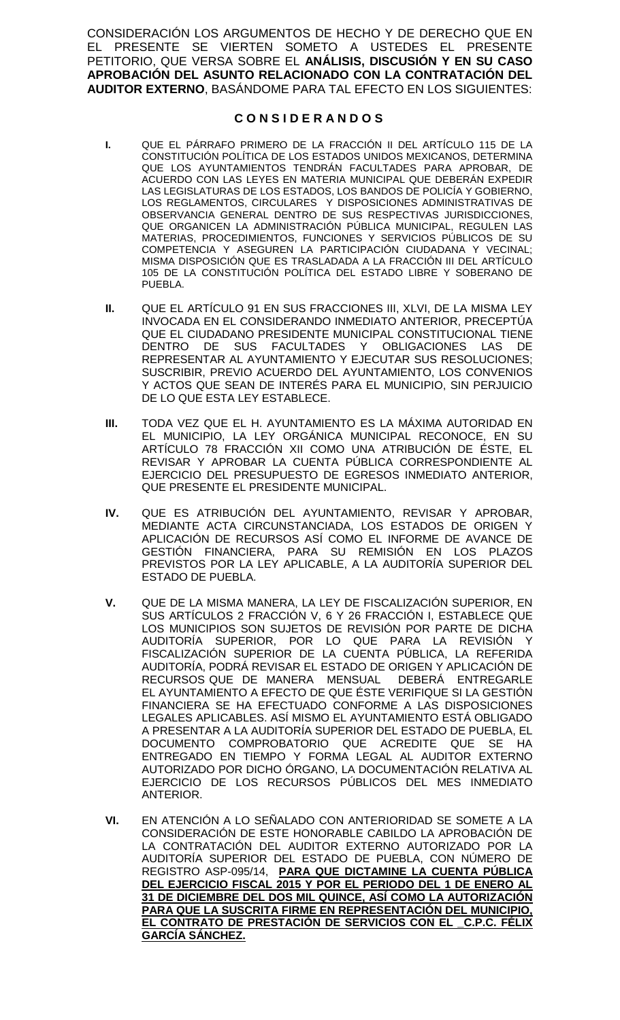CONSIDERACIÓN LOS ARGUMENTOS DE HECHO Y DE DERECHO QUE EN EL PRESENTE SE VIERTEN SOMETO A USTEDES EL PRESENTE PETITORIO, QUE VERSA SOBRE EL **ANÁLISIS, DISCUSIÓN Y EN SU CASO APROBACIÓN DEL ASUNTO RELACIONADO CON LA CONTRATACIÓN DEL AUDITOR EXTERNO**, BASÁNDOME PARA TAL EFECTO EN LOS SIGUIENTES:

### **C O N S I D E R A N D O S**

- **I.** QUE EL PÁRRAFO PRIMERO DE LA FRACCIÓN II DEL ARTÍCULO 115 DE LA CONSTITUCIÓN POLÍTICA DE LOS ESTADOS UNIDOS MEXICANOS, DETERMINA QUE LOS AYUNTAMIENTOS TENDRÁN FACULTADES PARA APROBAR, DE ACUERDO CON LAS LEYES EN MATERIA MUNICIPAL QUE DEBERÁN EXPEDIR LAS LEGISLATURAS DE LOS ESTADOS, LOS BANDOS DE POLICÍA Y GOBIERNO, LOS REGLAMENTOS, CIRCULARES Y DISPOSICIONES ADMINISTRATIVAS DE OBSERVANCIA GENERAL DENTRO DE SUS RESPECTIVAS JURISDICCIONES, QUE ORGANICEN LA ADMINISTRACIÓN PÚBLICA MUNICIPAL, REGULEN LAS MATERIAS, PROCEDIMIENTOS, FUNCIONES Y SERVICIOS PÚBLICOS DE SU COMPETENCIA Y ASEGUREN LA PARTICIPACIÓN CIUDADANA Y VECINAL; MISMA DISPOSICIÓN QUE ES TRASLADADA A LA FRACCIÓN III DEL ARTÍCULO 105 DE LA CONSTITUCIÓN POLÍTICA DEL ESTADO LIBRE Y SOBERANO DE PUEBLA.
- **II.** QUE EL ARTÍCULO 91 EN SUS FRACCIONES III, XLVI, DE LA MISMA LEY INVOCADA EN EL CONSIDERANDO INMEDIATO ANTERIOR, PRECEPTÚA QUE EL CIUDADANO PRESIDENTE MUNICIPAL CONSTITUCIONAL TIENE DENTRO DE SUS FACULTADES Y OBLIGACIONES LAS DE REPRESENTAR AL AYUNTAMIENTO Y EJECUTAR SUS RESOLUCIONES; SUSCRIBIR, PREVIO ACUERDO DEL AYUNTAMIENTO, LOS CONVENIOS Y ACTOS QUE SEAN DE INTERÉS PARA EL MUNICIPIO, SIN PERJUICIO DE LO QUE ESTA LEY ESTABLECE.
- **III.** TODA VEZ QUE EL H. AYUNTAMIENTO ES LA MÁXIMA AUTORIDAD EN EL MUNICIPIO, LA LEY ORGÁNICA MUNICIPAL RECONOCE, EN SU ARTÍCULO 78 FRACCIÓN XII COMO UNA ATRIBUCIÓN DE ÉSTE, EL REVISAR Y APROBAR LA CUENTA PÚBLICA CORRESPONDIENTE AL EJERCICIO DEL PRESUPUESTO DE EGRESOS INMEDIATO ANTERIOR, QUE PRESENTE EL PRESIDENTE MUNICIPAL.
- **IV.** QUE ES ATRIBUCIÓN DEL AYUNTAMIENTO, REVISAR Y APROBAR, MEDIANTE ACTA CIRCUNSTANCIADA, LOS ESTADOS DE ORIGEN Y APLICACIÓN DE RECURSOS ASÍ COMO EL INFORME DE AVANCE DE GESTIÓN FINANCIERA, PARA SU REMISIÓN EN LOS PLAZOS PREVISTOS POR LA LEY APLICABLE, A LA AUDITORÍA SUPERIOR DEL ESTADO DE PUEBLA.
- **V.** QUE DE LA MISMA MANERA, LA LEY DE FISCALIZACIÓN SUPERIOR, EN SUS ARTÍCULOS 2 FRACCIÓN V, 6 Y 26 FRACCIÓN I, ESTABLECE QUE LOS MUNICIPIOS SON SUJETOS DE REVISIÓN POR PARTE DE DICHA AUDITORÍA SUPERIOR, POR LO QUE PARA LA REVISIÓN FISCALIZACIÓN SUPERIOR DE LA CUENTA PÚBLICA, LA REFERIDA AUDITORÍA, PODRÁ REVISAR EL ESTADO DE ORIGEN Y APLICACIÓN DE RECURSOS QUE DE MANERA MENSUAL DEBERÁ ENTREGARLE EL AYUNTAMIENTO A EFECTO DE QUE ÉSTE VERIFIQUE SI LA GESTIÓN FINANCIERA SE HA EFECTUADO CONFORME A LAS DISPOSICIONES LEGALES APLICABLES. ASÍ MISMO EL AYUNTAMIENTO ESTÁ OBLIGADO A PRESENTAR A LA AUDITORÍA SUPERIOR DEL ESTADO DE PUEBLA, EL DOCUMENTO COMPROBATORIO QUE ACREDITE QUE SE HA ENTREGADO EN TIEMPO Y FORMA LEGAL AL AUDITOR EXTERNO AUTORIZADO POR DICHO ÓRGANO, LA DOCUMENTACIÓN RELATIVA AL EJERCICIO DE LOS RECURSOS PÚBLICOS DEL MES INMEDIATO ANTERIOR.
- **VI.** EN ATENCIÓN A LO SEÑALADO CON ANTERIORIDAD SE SOMETE A LA CONSIDERACIÓN DE ESTE HONORABLE CABILDO LA APROBACIÓN DE LA CONTRATACIÓN DEL AUDITOR EXTERNO AUTORIZADO POR LA AUDITORÍA SUPERIOR DEL ESTADO DE PUEBLA, CON NÚMERO DE REGISTRO ASP-095/14, **PARA QUE DICTAMINE LA CUENTA PÚBLICA DEL EJERCICIO FISCAL 2015 Y POR EL PERIODO DEL 1 DE ENERO AL 31 DE DICIEMBRE DEL DOS MIL QUINCE, ASÍ COMO LA AUTORIZACIÓN PARA QUE LA SUSCRITA FIRME EN REPRESENTACIÓN DEL MUNICIPIO, EL CONTRATO DE PRESTACIÓN DE SERVICIOS CON EL \_C.P.C. FÉLIX GARCÍA SÁNCHEZ.**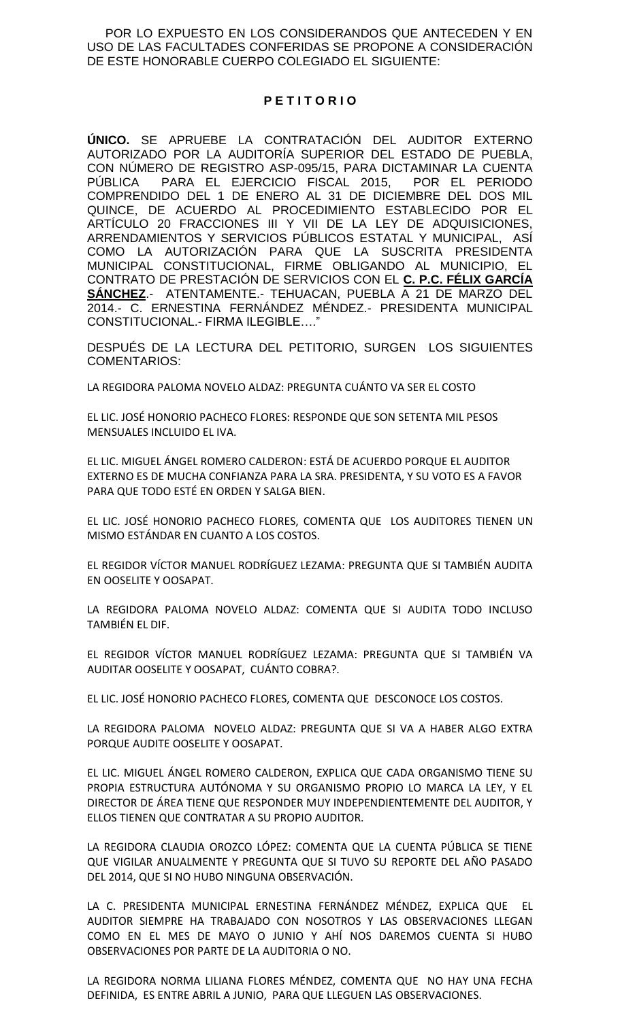POR LO EXPUESTO EN LOS CONSIDERANDOS QUE ANTECEDEN Y EN USO DE LAS FACULTADES CONFERIDAS SE PROPONE A CONSIDERACIÓN DE ESTE HONORABLE CUERPO COLEGIADO EL SIGUIENTE:

### **P E T I T O R I O**

**ÚNICO.** SE APRUEBE LA CONTRATACIÓN DEL AUDITOR EXTERNO AUTORIZADO POR LA AUDITORÍA SUPERIOR DEL ESTADO DE PUEBLA, CON NÚMERO DE REGISTRO ASP-095/15, PARA DICTAMINAR LA CUENTA PÚBLICA PARA EL EJERCICIO FISCAL 2015, POR EL PERIODO COMPRENDIDO DEL 1 DE ENERO AL 31 DE DICIEMBRE DEL DOS MIL QUINCE, DE ACUERDO AL PROCEDIMIENTO ESTABLECIDO POR EL ARTÍCULO 20 FRACCIONES III Y VII DE LA LEY DE ADQUISICIONES, ARRENDAMIENTOS Y SERVICIOS PÚBLICOS ESTATAL Y MUNICIPAL, ASÍ COMO LA AUTORIZACIÓN PARA QUE LA SUSCRITA PRESIDENTA MUNICIPAL CONSTITUCIONAL, FIRME OBLIGANDO AL MUNICIPIO, EL CONTRATO DE PRESTACIÓN DE SERVICIOS CON EL **C. P.C. FÉLIX GARCÍA SÁNCHEZ**.- ATENTAMENTE.- TEHUACAN, PUEBLA A 21 DE MARZO DEL 2014.- C. ERNESTINA FERNÁNDEZ MÉNDEZ.- PRESIDENTA MUNICIPAL CONSTITUCIONAL.- FIRMA ILEGIBLE…."

DESPUÉS DE LA LECTURA DEL PETITORIO, SURGEN LOS SIGUIENTES COMENTARIOS:

LA REGIDORA PALOMA NOVELO ALDAZ: PREGUNTA CUÁNTO VA SER EL COSTO

EL LIC. JOSÉ HONORIO PACHECO FLORES: RESPONDE QUE SON SETENTA MIL PESOS MENSUALES INCLUIDO EL IVA.

EL LIC. MIGUEL ÁNGEL ROMERO CALDERON: ESTÁ DE ACUERDO PORQUE EL AUDITOR EXTERNO ES DE MUCHA CONFIANZA PARA LA SRA. PRESIDENTA, Y SU VOTO ES A FAVOR PARA QUE TODO ESTÉ EN ORDEN Y SALGA BIEN.

EL LIC. JOSÉ HONORIO PACHECO FLORES, COMENTA QUE LOS AUDITORES TIENEN UN MISMO ESTÁNDAR EN CUANTO A LOS COSTOS.

EL REGIDOR VÍCTOR MANUEL RODRÍGUEZ LEZAMA: PREGUNTA QUE SI TAMBIÉN AUDITA EN OOSELITE Y OOSAPAT.

LA REGIDORA PALOMA NOVELO ALDAZ: COMENTA QUE SI AUDITA TODO INCLUSO TAMBIÉN EL DIF.

EL REGIDOR VÍCTOR MANUEL RODRÍGUEZ LEZAMA: PREGUNTA QUE SI TAMBIÉN VA AUDITAR OOSELITE Y OOSAPAT, CUÁNTO COBRA?.

EL LIC. JOSÉ HONORIO PACHECO FLORES, COMENTA QUE DESCONOCE LOS COSTOS.

LA REGIDORA PALOMA NOVELO ALDAZ: PREGUNTA QUE SI VA A HABER ALGO EXTRA PORQUE AUDITE OOSELITE Y OOSAPAT.

EL LIC. MIGUEL ÁNGEL ROMERO CALDERON, EXPLICA QUE CADA ORGANISMO TIENE SU PROPIA ESTRUCTURA AUTÓNOMA Y SU ORGANISMO PROPIO LO MARCA LA LEY, Y EL DIRECTOR DE ÁREA TIENE QUE RESPONDER MUY INDEPENDIENTEMENTE DEL AUDITOR, Y ELLOS TIENEN QUE CONTRATAR A SU PROPIO AUDITOR.

LA REGIDORA CLAUDIA OROZCO LÓPEZ: COMENTA QUE LA CUENTA PÚBLICA SE TIENE QUE VIGILAR ANUALMENTE Y PREGUNTA QUE SI TUVO SU REPORTE DEL AÑO PASADO DEL 2014, QUE SI NO HUBO NINGUNA OBSERVACIÓN.

LA C. PRESIDENTA MUNICIPAL ERNESTINA FERNÁNDEZ MÉNDEZ, EXPLICA QUE EL AUDITOR SIEMPRE HA TRABAJADO CON NOSOTROS Y LAS OBSERVACIONES LLEGAN COMO EN EL MES DE MAYO O JUNIO Y AHÍ NOS DAREMOS CUENTA SI HUBO OBSERVACIONES POR PARTE DE LA AUDITORIA O NO.

LA REGIDORA NORMA LILIANA FLORES MÉNDEZ, COMENTA QUE NO HAY UNA FECHA DEFINIDA, ES ENTRE ABRIL A JUNIO, PARA QUE LLEGUEN LAS OBSERVACIONES.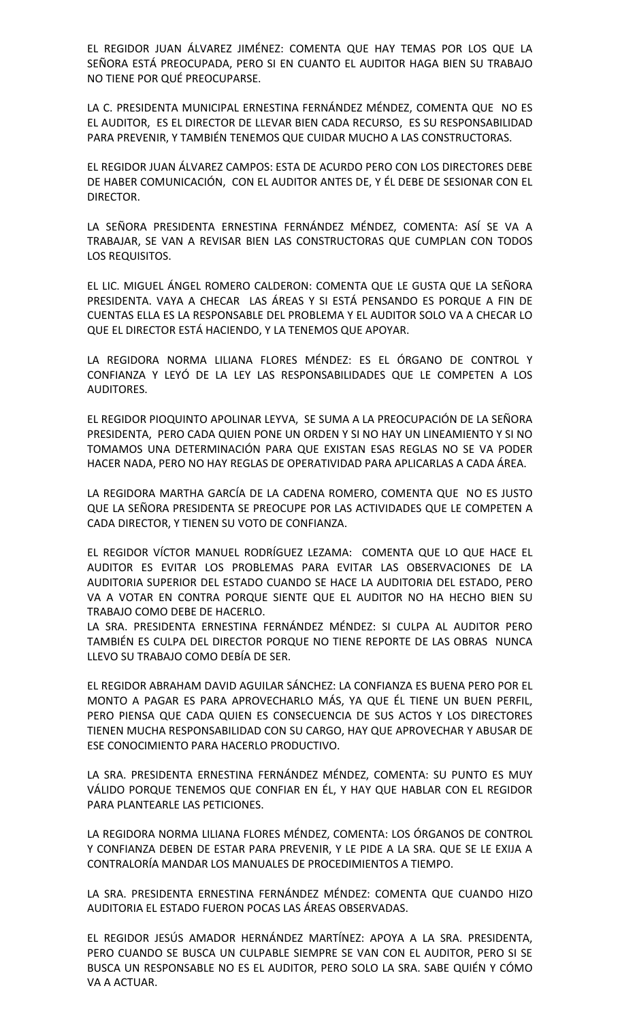EL REGIDOR JUAN ÁLVAREZ JIMÉNEZ: COMENTA QUE HAY TEMAS POR LOS QUE LA SEÑORA ESTÁ PREOCUPADA, PERO SI EN CUANTO EL AUDITOR HAGA BIEN SU TRABAJO NO TIENE POR QUÉ PREOCUPARSE.

LA C. PRESIDENTA MUNICIPAL ERNESTINA FERNÁNDEZ MÉNDEZ, COMENTA QUE NO ES EL AUDITOR, ES EL DIRECTOR DE LLEVAR BIEN CADA RECURSO, ES SU RESPONSABILIDAD PARA PREVENIR, Y TAMBIÉN TENEMOS QUE CUIDAR MUCHO A LAS CONSTRUCTORAS.

EL REGIDOR JUAN ÁLVAREZ CAMPOS: ESTA DE ACURDO PERO CON LOS DIRECTORES DEBE DE HABER COMUNICACIÓN, CON EL AUDITOR ANTES DE, Y ÉL DEBE DE SESIONAR CON EL DIRECTOR.

LA SEÑORA PRESIDENTA ERNESTINA FERNÁNDEZ MÉNDEZ, COMENTA: ASÍ SE VA A TRABAJAR, SE VAN A REVISAR BIEN LAS CONSTRUCTORAS QUE CUMPLAN CON TODOS LOS REQUISITOS.

EL LIC. MIGUEL ÁNGEL ROMERO CALDERON: COMENTA QUE LE GUSTA QUE LA SEÑORA PRESIDENTA. VAYA A CHECAR LAS ÁREAS Y SI ESTÁ PENSANDO ES PORQUE A FIN DE CUENTAS ELLA ES LA RESPONSABLE DEL PROBLEMA Y EL AUDITOR SOLO VA A CHECAR LO QUE EL DIRECTOR ESTÁ HACIENDO, Y LA TENEMOS QUE APOYAR.

LA REGIDORA NORMA LILIANA FLORES MÉNDEZ: ES EL ÓRGANO DE CONTROL Y CONFIANZA Y LEYÓ DE LA LEY LAS RESPONSABILIDADES QUE LE COMPETEN A LOS AUDITORES.

EL REGIDOR PIOQUINTO APOLINAR LEYVA, SE SUMA A LA PREOCUPACIÓN DE LA SEÑORA PRESIDENTA, PERO CADA QUIEN PONE UN ORDEN Y SI NO HAY UN LINEAMIENTO Y SI NO TOMAMOS UNA DETERMINACIÓN PARA QUE EXISTAN ESAS REGLAS NO SE VA PODER HACER NADA, PERO NO HAY REGLAS DE OPERATIVIDAD PARA APLICARLAS A CADA ÁREA.

LA REGIDORA MARTHA GARCÍA DE LA CADENA ROMERO, COMENTA QUE NO ES JUSTO QUE LA SEÑORA PRESIDENTA SE PREOCUPE POR LAS ACTIVIDADES QUE LE COMPETEN A CADA DIRECTOR, Y TIENEN SU VOTO DE CONFIANZA.

EL REGIDOR VÍCTOR MANUEL RODRÍGUEZ LEZAMA: COMENTA QUE LO QUE HACE EL AUDITOR ES EVITAR LOS PROBLEMAS PARA EVITAR LAS OBSERVACIONES DE LA AUDITORIA SUPERIOR DEL ESTADO CUANDO SE HACE LA AUDITORIA DEL ESTADO, PERO VA A VOTAR EN CONTRA PORQUE SIENTE QUE EL AUDITOR NO HA HECHO BIEN SU TRABAJO COMO DEBE DE HACERLO.

LA SRA. PRESIDENTA ERNESTINA FERNÁNDEZ MÉNDEZ: SI CULPA AL AUDITOR PERO TAMBIÉN ES CULPA DEL DIRECTOR PORQUE NO TIENE REPORTE DE LAS OBRAS NUNCA LLEVO SU TRABAJO COMO DEBÍA DE SER.

EL REGIDOR ABRAHAM DAVID AGUILAR SÁNCHEZ: LA CONFIANZA ES BUENA PERO POR EL MONTO A PAGAR ES PARA APROVECHARLO MÁS, YA QUE ÉL TIENE UN BUEN PERFIL, PERO PIENSA QUE CADA QUIEN ES CONSECUENCIA DE SUS ACTOS Y LOS DIRECTORES TIENEN MUCHA RESPONSABILIDAD CON SU CARGO, HAY QUE APROVECHAR Y ABUSAR DE ESE CONOCIMIENTO PARA HACERLO PRODUCTIVO.

LA SRA. PRESIDENTA ERNESTINA FERNÁNDEZ MÉNDEZ, COMENTA: SU PUNTO ES MUY VÁLIDO PORQUE TENEMOS QUE CONFIAR EN ÉL, Y HAY QUE HABLAR CON EL REGIDOR PARA PLANTEARLE LAS PETICIONES.

LA REGIDORA NORMA LILIANA FLORES MÉNDEZ, COMENTA: LOS ÓRGANOS DE CONTROL Y CONFIANZA DEBEN DE ESTAR PARA PREVENIR, Y LE PIDE A LA SRA. QUE SE LE EXIJA A CONTRALORÍA MANDAR LOS MANUALES DE PROCEDIMIENTOS A TIEMPO.

LA SRA. PRESIDENTA ERNESTINA FERNÁNDEZ MÉNDEZ: COMENTA QUE CUANDO HIZO AUDITORIA EL ESTADO FUERON POCAS LAS ÁREAS OBSERVADAS.

EL REGIDOR JESÚS AMADOR HERNÁNDEZ MARTÍNEZ: APOYA A LA SRA. PRESIDENTA, PERO CUANDO SE BUSCA UN CULPABLE SIEMPRE SE VAN CON EL AUDITOR, PERO SI SE BUSCA UN RESPONSABLE NO ES EL AUDITOR, PERO SOLO LA SRA. SABE QUIÉN Y CÓMO VA A ACTUAR.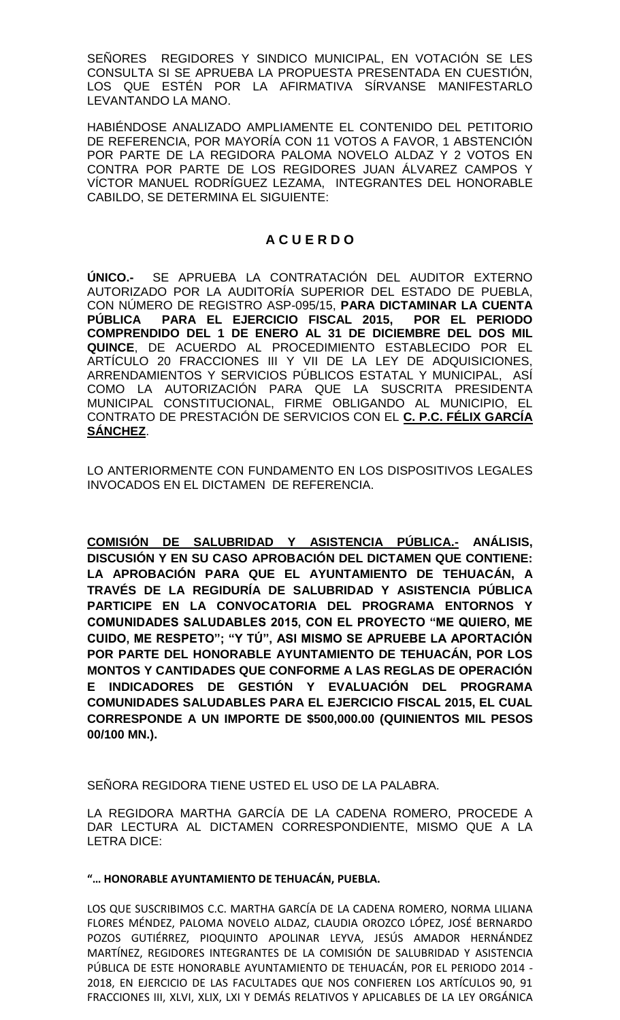SEÑORES REGIDORES Y SINDICO MUNICIPAL, EN VOTACIÓN SE LES CONSULTA SI SE APRUEBA LA PROPUESTA PRESENTADA EN CUESTIÓN, LOS QUE ESTÉN POR LA AFIRMATIVA SÍRVANSE MANIFESTARLO LEVANTANDO LA MANO.

HABIÉNDOSE ANALIZADO AMPLIAMENTE EL CONTENIDO DEL PETITORIO DE REFERENCIA, POR MAYORÍA CON 11 VOTOS A FAVOR, 1 ABSTENCIÓN POR PARTE DE LA REGIDORA PALOMA NOVELO ALDAZ Y 2 VOTOS EN CONTRA POR PARTE DE LOS REGIDORES JUAN ÁLVAREZ CAMPOS Y VÍCTOR MANUEL RODRÍGUEZ LEZAMA, INTEGRANTES DEL HONORABLE CABILDO, SE DETERMINA EL SIGUIENTE:

# **A C U E R D O**

**ÚNICO.-** SE APRUEBA LA CONTRATACIÓN DEL AUDITOR EXTERNO AUTORIZADO POR LA AUDITORÍA SUPERIOR DEL ESTADO DE PUEBLA, CON NÚMERO DE REGISTRO ASP-095/15, **PARA DICTAMINAR LA CUENTA PÚBLICA PARA EL EJERCICIO FISCAL 2015, POR EL PERIODO COMPRENDIDO DEL 1 DE ENERO AL 31 DE DICIEMBRE DEL DOS MIL QUINCE**, DE ACUERDO AL PROCEDIMIENTO ESTABLECIDO POR EL ARTÍCULO 20 FRACCIONES III Y VII DE LA LEY DE ADQUISICIONES, ARRENDAMIENTOS Y SERVICIOS PÚBLICOS ESTATAL Y MUNICIPAL, ASÍ COMO LA AUTORIZACIÓN PARA QUE LA SUSCRITA PRESIDENTA MUNICIPAL CONSTITUCIONAL, FIRME OBLIGANDO AL MUNICIPIO, EL CONTRATO DE PRESTACIÓN DE SERVICIOS CON EL **C. P.C. FÉLIX GARCÍA SÁNCHEZ**.

LO ANTERIORMENTE CON FUNDAMENTO EN LOS DISPOSITIVOS LEGALES INVOCADOS EN EL DICTAMEN DE REFERENCIA.

**COMISIÓN DE SALUBRIDAD Y ASISTENCIA PÚBLICA.- ANÁLISIS, DISCUSIÓN Y EN SU CASO APROBACIÓN DEL DICTAMEN QUE CONTIENE: LA APROBACIÓN PARA QUE EL AYUNTAMIENTO DE TEHUACÁN, A TRAVÉS DE LA REGIDURÍA DE SALUBRIDAD Y ASISTENCIA PÚBLICA PARTICIPE EN LA CONVOCATORIA DEL PROGRAMA ENTORNOS Y COMUNIDADES SALUDABLES 2015, CON EL PROYECTO "ME QUIERO, ME CUIDO, ME RESPETO"; "Y TÚ", ASI MISMO SE APRUEBE LA APORTACIÓN POR PARTE DEL HONORABLE AYUNTAMIENTO DE TEHUACÁN, POR LOS MONTOS Y CANTIDADES QUE CONFORME A LAS REGLAS DE OPERACIÓN E INDICADORES DE GESTIÓN Y EVALUACIÓN DEL PROGRAMA COMUNIDADES SALUDABLES PARA EL EJERCICIO FISCAL 2015, EL CUAL CORRESPONDE A UN IMPORTE DE \$500,000.00 (QUINIENTOS MIL PESOS 00/100 MN.).**

SEÑORA REGIDORA TIENE USTED EL USO DE LA PALABRA.

LA REGIDORA MARTHA GARCÍA DE LA CADENA ROMERO, PROCEDE A DAR LECTURA AL DICTAMEN CORRESPONDIENTE, MISMO QUE A LA LETRA DICE:

### **"… HONORABLE AYUNTAMIENTO DE TEHUACÁN, PUEBLA.**

LOS QUE SUSCRIBIMOS C.C. MARTHA GARCÍA DE LA CADENA ROMERO, NORMA LILIANA FLORES MÉNDEZ, PALOMA NOVELO ALDAZ, CLAUDIA OROZCO LÓPEZ, JOSÉ BERNARDO POZOS GUTIÉRREZ, PIOQUINTO APOLINAR LEYVA, JESÚS AMADOR HERNÁNDEZ MARTÍNEZ, REGIDORES INTEGRANTES DE LA COMISIÓN DE SALUBRIDAD Y ASISTENCIA PÚBLICA DE ESTE HONORABLE AYUNTAMIENTO DE TEHUACÁN, POR EL PERIODO 2014 - 2018, EN EJERCICIO DE LAS FACULTADES QUE NOS CONFIEREN LOS ARTÍCULOS 90, 91 FRACCIONES III, XLVI, XLIX, LXI Y DEMÁS RELATIVOS Y APLICABLES DE LA LEY ORGÁNICA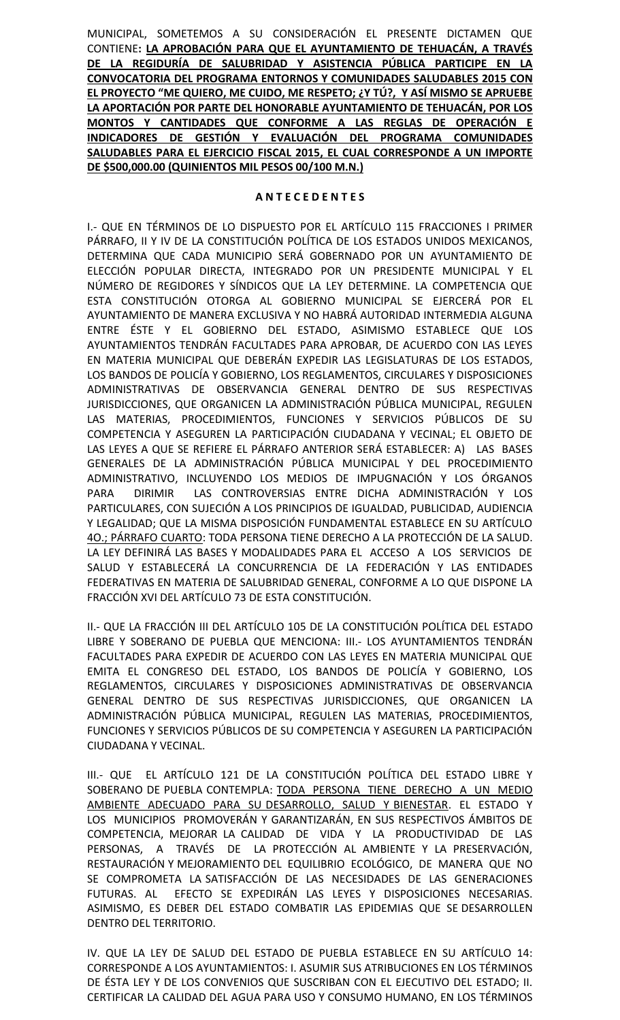MUNICIPAL, SOMETEMOS A SU CONSIDERACIÓN EL PRESENTE DICTAMEN QUE CONTIENE**: LA APROBACIÓN PARA QUE EL AYUNTAMIENTO DE TEHUACÁN, A TRAVÉS DE LA REGIDURÍA DE SALUBRIDAD Y ASISTENCIA PÚBLICA PARTICIPE EN LA CONVOCATORIA DEL PROGRAMA ENTORNOS Y COMUNIDADES SALUDABLES 2015 CON EL PROYECTO "ME QUIERO, ME CUIDO, ME RESPETO; ¿Y TÚ?, Y ASÍ MISMO SE APRUEBE LA APORTACIÓN POR PARTE DEL HONORABLE AYUNTAMIENTO DE TEHUACÁN, POR LOS MONTOS Y CANTIDADES QUE CONFORME A LAS REGLAS DE OPERACIÓN E INDICADORES DE GESTIÓN Y EVALUACIÓN DEL PROGRAMA COMUNIDADES SALUDABLES PARA EL EJERCICIO FISCAL 2015, EL CUAL CORRESPONDE A UN IMPORTE DE \$500,000.00 (QUINIENTOS MIL PESOS 00/100 M.N.)**

#### **A N T E C E D E N T E S**

I.- QUE EN TÉRMINOS DE LO DISPUESTO POR EL ARTÍCULO 115 FRACCIONES I PRIMER PÁRRAFO, II Y IV DE LA CONSTITUCIÓN POLÍTICA DE LOS ESTADOS UNIDOS MEXICANOS, DETERMINA QUE CADA MUNICIPIO SERÁ GOBERNADO POR UN AYUNTAMIENTO DE ELECCIÓN POPULAR DIRECTA, INTEGRADO POR UN PRESIDENTE MUNICIPAL Y EL NÚMERO DE REGIDORES Y SÍNDICOS QUE LA LEY DETERMINE. LA COMPETENCIA QUE ESTA CONSTITUCIÓN OTORGA AL GOBIERNO MUNICIPAL SE EJERCERÁ POR EL AYUNTAMIENTO DE MANERA EXCLUSIVA Y NO HABRÁ AUTORIDAD INTERMEDIA ALGUNA ENTRE ÉSTE Y EL GOBIERNO DEL ESTADO, ASIMISMO ESTABLECE QUE LOS AYUNTAMIENTOS TENDRÁN FACULTADES PARA APROBAR, DE ACUERDO CON LAS LEYES EN MATERIA MUNICIPAL QUE DEBERÁN EXPEDIR LAS LEGISLATURAS DE LOS ESTADOS, LOS BANDOS DE POLICÍA Y GOBIERNO, LOS REGLAMENTOS, CIRCULARES Y DISPOSICIONES ADMINISTRATIVAS DE OBSERVANCIA GENERAL DENTRO DE SUS RESPECTIVAS JURISDICCIONES, QUE ORGANICEN LA ADMINISTRACIÓN PÚBLICA MUNICIPAL, REGULEN LAS MATERIAS, PROCEDIMIENTOS, FUNCIONES Y SERVICIOS PÚBLICOS DE SU COMPETENCIA Y ASEGUREN LA PARTICIPACIÓN CIUDADANA Y VECINAL; EL OBJETO DE LAS LEYES A QUE SE REFIERE EL PÁRRAFO ANTERIOR SERÁ ESTABLECER: A) LAS BASES GENERALES DE LA ADMINISTRACIÓN PÚBLICA MUNICIPAL Y DEL PROCEDIMIENTO ADMINISTRATIVO, INCLUYENDO LOS MEDIOS DE IMPUGNACIÓN Y LOS ÓRGANOS PARA DIRIMIR LAS CONTROVERSIAS ENTRE DICHA ADMINISTRACIÓN Y LOS PARTICULARES, CON SUJECIÓN A LOS PRINCIPIOS DE IGUALDAD, PUBLICIDAD, AUDIENCIA Y LEGALIDAD; QUE LA MISMA DISPOSICIÓN FUNDAMENTAL ESTABLECE EN SU ARTÍCULO 4O.; PÁRRAFO CUARTO: TODA PERSONA TIENE DERECHO A LA PROTECCIÓN DE LA SALUD. LA LEY DEFINIRÁ LAS BASES Y MODALIDADES PARA EL ACCESO A LOS SERVICIOS DE SALUD Y ESTABLECERÁ LA CONCURRENCIA DE LA FEDERACIÓN Y LAS ENTIDADES FEDERATIVAS EN MATERIA DE SALUBRIDAD GENERAL, CONFORME A LO QUE DISPONE LA FRACCIÓN XVI DEL ARTÍCULO 73 DE ESTA CONSTITUCIÓN.

II.- QUE LA FRACCIÓN III DEL ARTÍCULO 105 DE LA CONSTITUCIÓN POLÍTICA DEL ESTADO LIBRE Y SOBERANO DE PUEBLA QUE MENCIONA: III.- LOS AYUNTAMIENTOS TENDRÁN FACULTADES PARA EXPEDIR DE ACUERDO CON LAS LEYES EN MATERIA MUNICIPAL QUE EMITA EL CONGRESO DEL ESTADO, LOS BANDOS DE POLICÍA Y GOBIERNO, LOS REGLAMENTOS, CIRCULARES Y DISPOSICIONES ADMINISTRATIVAS DE OBSERVANCIA GENERAL DENTRO DE SUS RESPECTIVAS JURISDICCIONES, QUE ORGANICEN LA ADMINISTRACIÓN PÚBLICA MUNICIPAL, REGULEN LAS MATERIAS, PROCEDIMIENTOS, FUNCIONES Y SERVICIOS PÚBLICOS DE SU COMPETENCIA Y ASEGUREN LA PARTICIPACIÓN CIUDADANA Y VECINAL.

III.- QUE EL ARTÍCULO 121 DE LA CONSTITUCIÓN POLÍTICA DEL ESTADO LIBRE Y SOBERANO DE PUEBLA CONTEMPLA: TODA PERSONA TIENE DERECHO A UN MEDIO AMBIENTE ADECUADO PARA SU DESARROLLO, SALUD Y BIENESTAR. EL ESTADO Y LOS MUNICIPIOS PROMOVERÁN Y GARANTIZARÁN, EN SUS RESPECTIVOS ÁMBITOS DE COMPETENCIA, MEJORAR LA CALIDAD DE VIDA Y LA PRODUCTIVIDAD DE LAS PERSONAS, A TRAVÉS DE LA PROTECCIÓN AL AMBIENTE Y LA PRESERVACIÓN, RESTAURACIÓN Y MEJORAMIENTO DEL EQUILIBRIO ECOLÓGICO, DE MANERA QUE NO SE COMPROMETA LA SATISFACCIÓN DE LAS NECESIDADES DE LAS GENERACIONES FUTURAS. AL EFECTO SE EXPEDIRÁN LAS LEYES Y DISPOSICIONES NECESARIAS. ASIMISMO, ES DEBER DEL ESTADO COMBATIR LAS EPIDEMIAS QUE SE DESARROLLEN DENTRO DEL TERRITORIO.

IV. QUE LA LEY DE SALUD DEL ESTADO DE PUEBLA ESTABLECE EN SU ARTÍCULO 14: CORRESPONDE A LOS AYUNTAMIENTOS: I. ASUMIR SUS ATRIBUCIONES EN LOS TÉRMINOS DE ÉSTA LEY Y DE LOS CONVENIOS QUE SUSCRIBAN CON EL EJECUTIVO DEL ESTADO; II. CERTIFICAR LA CALIDAD DEL AGUA PARA USO Y CONSUMO HUMANO, EN LOS TÉRMINOS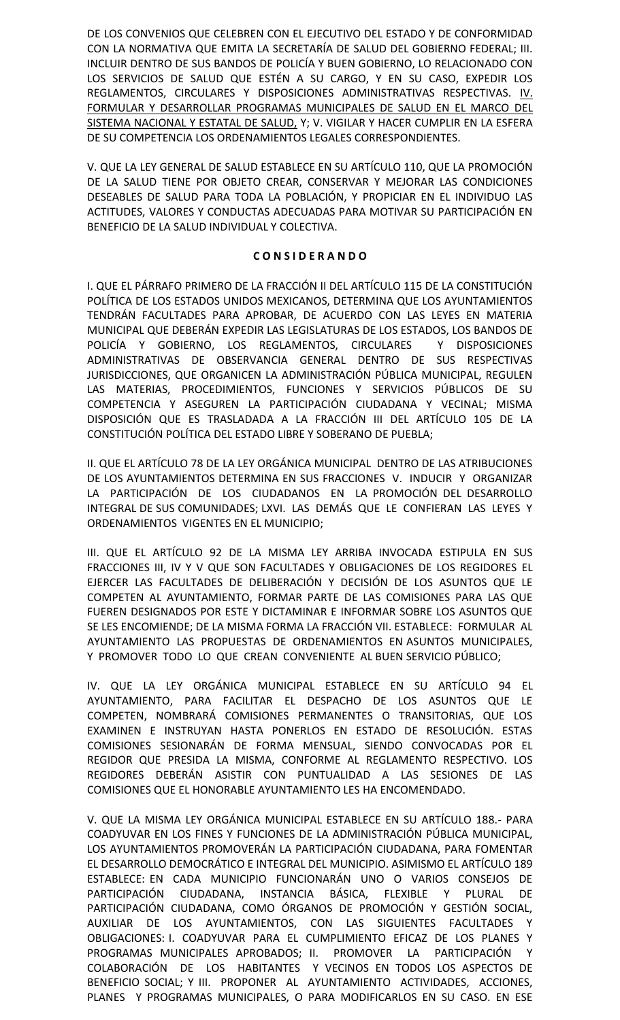DE LOS CONVENIOS QUE CELEBREN CON EL EJECUTIVO DEL ESTADO Y DE CONFORMIDAD CON LA NORMATIVA QUE EMITA LA SECRETARÍA DE SALUD DEL GOBIERNO FEDERAL; III. INCLUIR DENTRO DE SUS BANDOS DE POLICÍA Y BUEN GOBIERNO, LO RELACIONADO CON LOS SERVICIOS DE SALUD QUE ESTÉN A SU CARGO, Y EN SU CASO, EXPEDIR LOS REGLAMENTOS, CIRCULARES Y DISPOSICIONES ADMINISTRATIVAS RESPECTIVAS. IV. FORMULAR Y DESARROLLAR PROGRAMAS MUNICIPALES DE SALUD EN EL MARCO DEL SISTEMA NACIONAL Y ESTATAL DE SALUD, Y; V. VIGILAR Y HACER CUMPLIR EN LA ESFERA DE SU COMPETENCIA LOS ORDENAMIENTOS LEGALES CORRESPONDIENTES.

V. QUE LA LEY GENERAL DE SALUD ESTABLECE EN SU ARTÍCULO 110, QUE LA PROMOCIÓN DE LA SALUD TIENE POR OBJETO CREAR, CONSERVAR Y MEJORAR LAS CONDICIONES DESEABLES DE SALUD PARA TODA LA POBLACIÓN, Y PROPICIAR EN EL INDIVIDUO LAS ACTITUDES, VALORES Y CONDUCTAS ADECUADAS PARA MOTIVAR SU PARTICIPACIÓN EN BENEFICIO DE LA SALUD INDIVIDUAL Y COLECTIVA.

### **C O N S I D E R A N D O**

I. QUE EL PÁRRAFO PRIMERO DE LA FRACCIÓN II DEL ARTÍCULO 115 DE LA CONSTITUCIÓN POLÍTICA DE LOS ESTADOS UNIDOS MEXICANOS, DETERMINA QUE LOS AYUNTAMIENTOS TENDRÁN FACULTADES PARA APROBAR, DE ACUERDO CON LAS LEYES EN MATERIA MUNICIPAL QUE DEBERÁN EXPEDIR LAS LEGISLATURAS DE LOS ESTADOS, LOS BANDOS DE POLICÍA Y GOBIERNO, LOS REGLAMENTOS, CIRCULARES Y DISPOSICIONES ADMINISTRATIVAS DE OBSERVANCIA GENERAL DENTRO DE SUS RESPECTIVAS JURISDICCIONES, QUE ORGANICEN LA ADMINISTRACIÓN PÚBLICA MUNICIPAL, REGULEN LAS MATERIAS, PROCEDIMIENTOS, FUNCIONES Y SERVICIOS PÚBLICOS DE SU COMPETENCIA Y ASEGUREN LA PARTICIPACIÓN CIUDADANA Y VECINAL; MISMA DISPOSICIÓN QUE ES TRASLADADA A LA FRACCIÓN III DEL ARTÍCULO 105 DE LA CONSTITUCIÓN POLÍTICA DEL ESTADO LIBRE Y SOBERANO DE PUEBLA;

II. QUE EL ARTÍCULO 78 DE LA LEY ORGÁNICA MUNICIPAL DENTRO DE LAS ATRIBUCIONES DE LOS AYUNTAMIENTOS DETERMINA EN SUS FRACCIONES V. INDUCIR Y ORGANIZAR LA PARTICIPACIÓN DE LOS CIUDADANOS EN LA PROMOCIÓN DEL DESARROLLO INTEGRAL DE SUS COMUNIDADES; LXVI. LAS DEMÁS QUE LE CONFIERAN LAS LEYES Y ORDENAMIENTOS VIGENTES EN EL MUNICIPIO;

III. QUE EL ARTÍCULO 92 DE LA MISMA LEY ARRIBA INVOCADA ESTIPULA EN SUS FRACCIONES III, IV Y V QUE SON FACULTADES Y OBLIGACIONES DE LOS REGIDORES EL EJERCER LAS FACULTADES DE DELIBERACIÓN Y DECISIÓN DE LOS ASUNTOS QUE LE COMPETEN AL AYUNTAMIENTO, FORMAR PARTE DE LAS COMISIONES PARA LAS QUE FUEREN DESIGNADOS POR ESTE Y DICTAMINAR E INFORMAR SOBRE LOS ASUNTOS QUE SE LES ENCOMIENDE; DE LA MISMA FORMA LA FRACCIÓN VII. ESTABLECE: FORMULAR AL AYUNTAMIENTO LAS PROPUESTAS DE ORDENAMIENTOS EN ASUNTOS MUNICIPALES, Y PROMOVER TODO LO QUE CREAN CONVENIENTE AL BUEN SERVICIO PÚBLICO;

IV. QUE LA LEY ORGÁNICA MUNICIPAL ESTABLECE EN SU ARTÍCULO 94 EL AYUNTAMIENTO, PARA FACILITAR EL DESPACHO DE LOS ASUNTOS QUE LE COMPETEN, NOMBRARÁ COMISIONES PERMANENTES O TRANSITORIAS, QUE LOS EXAMINEN E INSTRUYAN HASTA PONERLOS EN ESTADO DE RESOLUCIÓN. ESTAS COMISIONES SESIONARÁN DE FORMA MENSUAL, SIENDO CONVOCADAS POR EL REGIDOR QUE PRESIDA LA MISMA, CONFORME AL REGLAMENTO RESPECTIVO. LOS REGIDORES DEBERÁN ASISTIR CON PUNTUALIDAD A LAS SESIONES DE LAS COMISIONES QUE EL HONORABLE AYUNTAMIENTO LES HA ENCOMENDADO.

V. QUE LA MISMA LEY ORGÁNICA MUNICIPAL ESTABLECE EN SU ARTÍCULO 188.- PARA COADYUVAR EN LOS FINES Y FUNCIONES DE LA ADMINISTRACIÓN PÚBLICA MUNICIPAL, LOS AYUNTAMIENTOS PROMOVERÁN LA PARTICIPACIÓN CIUDADANA, PARA FOMENTAR EL DESARROLLO DEMOCRÁTICO E INTEGRAL DEL MUNICIPIO. ASIMISMO EL ARTÍCULO 189 ESTABLECE: EN CADA MUNICIPIO FUNCIONARÁN UNO O VARIOS CONSEJOS DE PARTICIPACIÓN CIUDADANA, INSTANCIA BÁSICA, FLEXIBLE Y PLURAL DE PARTICIPACIÓN CIUDADANA, COMO ÓRGANOS DE PROMOCIÓN Y GESTIÓN SOCIAL, AUXILIAR DE LOS AYUNTAMIENTOS, CON LAS SIGUIENTES FACULTADES Y OBLIGACIONES: I. COADYUVAR PARA EL CUMPLIMIENTO EFICAZ DE LOS PLANES Y PROGRAMAS MUNICIPALES APROBADOS; II. PROMOVER LA PARTICIPACIÓN Y COLABORACIÓN DE LOS HABITANTES Y VECINOS EN TODOS LOS ASPECTOS DE BENEFICIO SOCIAL; Y III. PROPONER AL AYUNTAMIENTO ACTIVIDADES, ACCIONES, PLANES Y PROGRAMAS MUNICIPALES, O PARA MODIFICARLOS EN SU CASO. EN ESE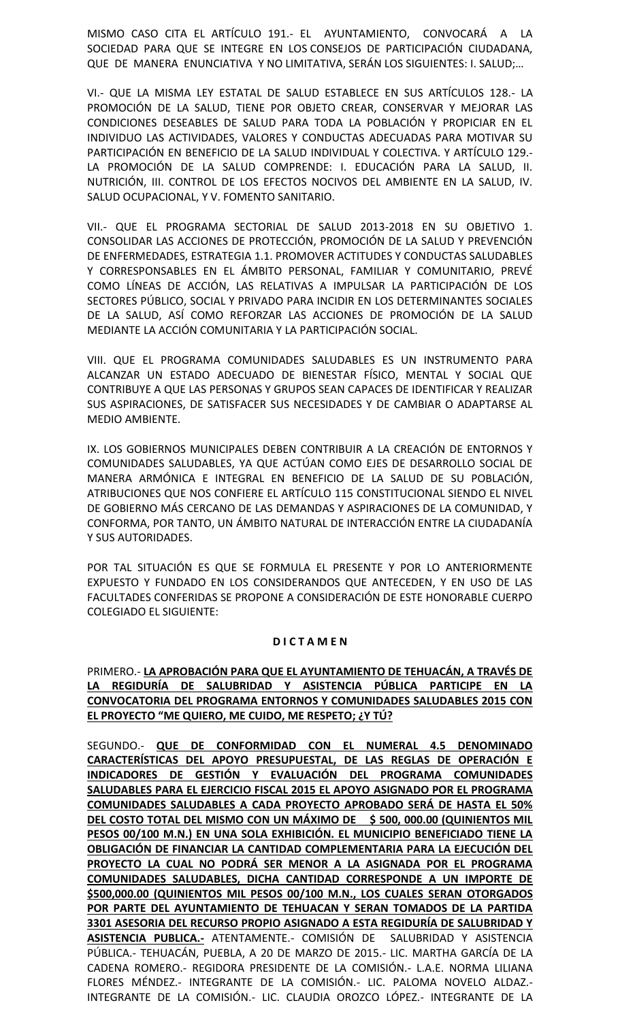MISMO CASO CITA EL ARTÍCULO 191.- EL AYUNTAMIENTO, CONVOCARÁ A LA SOCIEDAD PARA QUE SE INTEGRE EN LOS CONSEJOS DE PARTICIPACIÓN CIUDADANA, QUE DE MANERA ENUNCIATIVA Y NO LIMITATIVA, SERÁN LOS SIGUIENTES: I. SALUD;…

VI.- QUE LA MISMA LEY ESTATAL DE SALUD ESTABLECE EN SUS ARTÍCULOS 128.- LA PROMOCIÓN DE LA SALUD, TIENE POR OBJETO CREAR, CONSERVAR Y MEJORAR LAS CONDICIONES DESEABLES DE SALUD PARA TODA LA POBLACIÓN Y PROPICIAR EN EL INDIVIDUO LAS ACTIVIDADES, VALORES Y CONDUCTAS ADECUADAS PARA MOTIVAR SU PARTICIPACIÓN EN BENEFICIO DE LA SALUD INDIVIDUAL Y COLECTIVA. Y ARTÍCULO 129.- LA PROMOCIÓN DE LA SALUD COMPRENDE: I. EDUCACIÓN PARA LA SALUD, II. NUTRICIÓN, III. CONTROL DE LOS EFECTOS NOCIVOS DEL AMBIENTE EN LA SALUD, IV. SALUD OCUPACIONAL, Y V. FOMENTO SANITARIO.

VII.- QUE EL PROGRAMA SECTORIAL DE SALUD 2013-2018 EN SU OBJETIVO 1. CONSOLIDAR LAS ACCIONES DE PROTECCIÓN, PROMOCIÓN DE LA SALUD Y PREVENCIÓN DE ENFERMEDADES, ESTRATEGIA 1.1. PROMOVER ACTITUDES Y CONDUCTAS SALUDABLES Y CORRESPONSABLES EN EL ÁMBITO PERSONAL, FAMILIAR Y COMUNITARIO, PREVÉ COMO LÍNEAS DE ACCIÓN, LAS RELATIVAS A IMPULSAR LA PARTICIPACIÓN DE LOS SECTORES PÚBLICO, SOCIAL Y PRIVADO PARA INCIDIR EN LOS DETERMINANTES SOCIALES DE LA SALUD, ASÍ COMO REFORZAR LAS ACCIONES DE PROMOCIÓN DE LA SALUD MEDIANTE LA ACCIÓN COMUNITARIA Y LA PARTICIPACIÓN SOCIAL.

VIII. QUE EL PROGRAMA COMUNIDADES SALUDABLES ES UN INSTRUMENTO PARA ALCANZAR UN ESTADO ADECUADO DE BIENESTAR FÍSICO, MENTAL Y SOCIAL QUE CONTRIBUYE A QUE LAS PERSONAS Y GRUPOS SEAN CAPACES DE IDENTIFICAR Y REALIZAR SUS ASPIRACIONES, DE SATISFACER SUS NECESIDADES Y DE CAMBIAR O ADAPTARSE AL MEDIO AMBIENTE.

IX. LOS GOBIERNOS MUNICIPALES DEBEN CONTRIBUIR A LA CREACIÓN DE ENTORNOS Y COMUNIDADES SALUDABLES, YA QUE ACTÚAN COMO EJES DE DESARROLLO SOCIAL DE MANERA ARMÓNICA E INTEGRAL EN BENEFICIO DE LA SALUD DE SU POBLACIÓN, ATRIBUCIONES QUE NOS CONFIERE EL ARTÍCULO 115 CONSTITUCIONAL SIENDO EL NIVEL DE GOBIERNO MÁS CERCANO DE LAS DEMANDAS Y ASPIRACIONES DE LA COMUNIDAD, Y CONFORMA, POR TANTO, UN ÁMBITO NATURAL DE INTERACCIÓN ENTRE LA CIUDADANÍA Y SUS AUTORIDADES.

POR TAL SITUACIÓN ES QUE SE FORMULA EL PRESENTE Y POR LO ANTERIORMENTE EXPUESTO Y FUNDADO EN LOS CONSIDERANDOS QUE ANTECEDEN, Y EN USO DE LAS FACULTADES CONFERIDAS SE PROPONE A CONSIDERACIÓN DE ESTE HONORABLE CUERPO COLEGIADO EL SIGUIENTE:

### **D I C T A M E N**

PRIMERO.- **LA APROBACIÓN PARA QUE EL AYUNTAMIENTO DE TEHUACÁN, A TRAVÉS DE LA REGIDURÍA DE SALUBRIDAD Y ASISTENCIA PÚBLICA PARTICIPE EN LA CONVOCATORIA DEL PROGRAMA ENTORNOS Y COMUNIDADES SALUDABLES 2015 CON EL PROYECTO "ME QUIERO, ME CUIDO, ME RESPETO; ¿Y TÚ?**

SEGUNDO.- **QUE DE CONFORMIDAD CON EL NUMERAL 4.5 DENOMINADO CARACTERÍSTICAS DEL APOYO PRESUPUESTAL, DE LAS REGLAS DE OPERACIÓN E INDICADORES DE GESTIÓN Y EVALUACIÓN DEL PROGRAMA COMUNIDADES SALUDABLES PARA EL EJERCICIO FISCAL 2015 EL APOYO ASIGNADO POR EL PROGRAMA COMUNIDADES SALUDABLES A CADA PROYECTO APROBADO SERÁ DE HASTA EL 50% DEL COSTO TOTAL DEL MISMO CON UN MÁXIMO DE \$ 500, 000.00 (QUINIENTOS MIL PESOS 00/100 M.N.) EN UNA SOLA EXHIBICIÓN. EL MUNICIPIO BENEFICIADO TIENE LA OBLIGACIÓN DE FINANCIAR LA CANTIDAD COMPLEMENTARIA PARA LA EJECUCIÓN DEL PROYECTO LA CUAL NO PODRÁ SER MENOR A LA ASIGNADA POR EL PROGRAMA COMUNIDADES SALUDABLES, DICHA CANTIDAD CORRESPONDE A UN IMPORTE DE \$500,000.00 (QUINIENTOS MIL PESOS 00/100 M.N., LOS CUALES SERAN OTORGADOS POR PARTE DEL AYUNTAMIENTO DE TEHUACAN Y SERAN TOMADOS DE LA PARTIDA 3301 ASESORIA DEL RECURSO PROPIO ASIGNADO A ESTA REGIDURÍA DE SALUBRIDAD Y ASISTENCIA PUBLICA.-** ATENTAMENTE.- COMISIÓN DE SALUBRIDAD Y ASISTENCIA PÚBLICA.- TEHUACÁN, PUEBLA, A 20 DE MARZO DE 2015.- LIC. MARTHA GARCÍA DE LA CADENA ROMERO.- REGIDORA PRESIDENTE DE LA COMISIÓN.- L.A.E. NORMA LILIANA FLORES MÉNDEZ.- INTEGRANTE DE LA COMISIÓN.- LIC. PALOMA NOVELO ALDAZ.- INTEGRANTE DE LA COMISIÓN.- LIC. CLAUDIA OROZCO LÓPEZ.- INTEGRANTE DE LA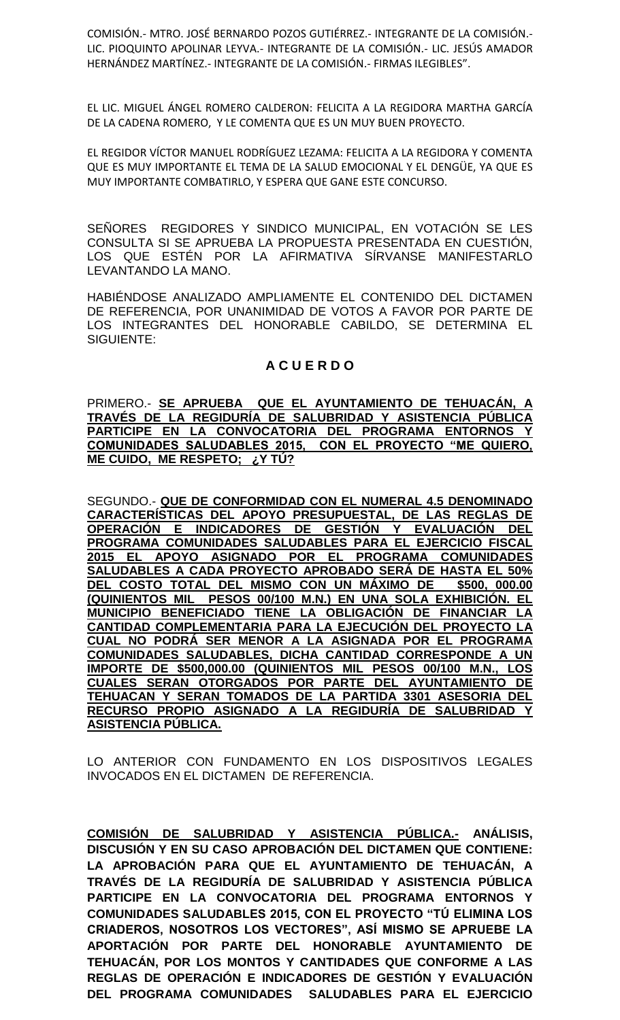COMISIÓN.- MTRO. JOSÉ BERNARDO POZOS GUTIÉRREZ.- INTEGRANTE DE LA COMISIÓN.- LIC. PIOQUINTO APOLINAR LEYVA.- INTEGRANTE DE LA COMISIÓN.- LIC. JESÚS AMADOR HERNÁNDEZ MARTÍNEZ.- INTEGRANTE DE LA COMISIÓN.- FIRMAS ILEGIBLES".

EL LIC. MIGUEL ÁNGEL ROMERO CALDERON: FELICITA A LA REGIDORA MARTHA GARCÍA DE LA CADENA ROMERO, Y LE COMENTA QUE ES UN MUY BUEN PROYECTO.

EL REGIDOR VÍCTOR MANUEL RODRÍGUEZ LEZAMA: FELICITA A LA REGIDORA Y COMENTA QUE ES MUY IMPORTANTE EL TEMA DE LA SALUD EMOCIONAL Y EL DENGÜE, YA QUE ES MUY IMPORTANTE COMBATIRLO, Y ESPERA QUE GANE ESTE CONCURSO.

SEÑORES REGIDORES Y SINDICO MUNICIPAL, EN VOTACIÓN SE LES CONSULTA SI SE APRUEBA LA PROPUESTA PRESENTADA EN CUESTIÓN, LOS QUE ESTÉN POR LA AFIRMATIVA SÍRVANSE MANIFESTARLO LEVANTANDO LA MANO.

HABIÉNDOSE ANALIZADO AMPLIAMENTE EL CONTENIDO DEL DICTAMEN DE REFERENCIA, POR UNANIMIDAD DE VOTOS A FAVOR POR PARTE DE LOS INTEGRANTES DEL HONORABLE CABILDO, SE DETERMINA EL SIGUIENTE:

# **A C U E R D O**

PRIMERO.- **SE APRUEBA QUE EL AYUNTAMIENTO DE TEHUACÁN, A TRAVÉS DE LA REGIDURÍA DE SALUBRIDAD Y ASISTENCIA PÚBLICA PARTICIPE EN LA CONVOCATORIA DEL PROGRAMA ENTORNOS Y COMUNIDADES SALUDABLES 2015, CON EL PROYECTO "ME QUIERO, ME CUIDO, ME RESPETO; ¿Y TÚ?**

SEGUNDO.- **QUE DE CONFORMIDAD CON EL NUMERAL 4.5 DENOMINADO CARACTERÍSTICAS DEL APOYO PRESUPUESTAL, DE LAS REGLAS DE OPERACIÓN E INDICADORES DE GESTIÓN Y EVALUACIÓN DEL PROGRAMA COMUNIDADES SALUDABLES PARA EL EJERCICIO FISCAL 2015 EL APOYO ASIGNADO POR EL PROGRAMA COMUNIDADES SALUDABLES A CADA PROYECTO APROBADO SERÁ DE HASTA EL 50% DEL COSTO TOTAL DEL MISMO CON UN MÁXIMO DE \$500, 000.00 (QUINIENTOS MIL PESOS 00/100 M.N.) EN UNA SOLA EXHIBICIÓN. EL MUNICIPIO BENEFICIADO TIENE LA OBLIGACIÓN DE FINANCIAR LA CANTIDAD COMPLEMENTARIA PARA LA EJECUCIÓN DEL PROYECTO LA CUAL NO PODRÁ SER MENOR A LA ASIGNADA POR EL PROGRAMA COMUNIDADES SALUDABLES, DICHA CANTIDAD CORRESPONDE A UN IMPORTE DE \$500,000.00 (QUINIENTOS MIL PESOS 00/100 M.N., LOS CUALES SERAN OTORGADOS POR PARTE DEL AYUNTAMIENTO DE TEHUACAN Y SERAN TOMADOS DE LA PARTIDA 3301 ASESORIA DEL RECURSO PROPIO ASIGNADO A LA REGIDURÍA DE SALUBRIDAD Y ASISTENCIA PÚBLICA.**

LO ANTERIOR CON FUNDAMENTO EN LOS DISPOSITIVOS LEGALES INVOCADOS EN EL DICTAMEN DE REFERENCIA.

**COMISIÓN DE SALUBRIDAD Y ASISTENCIA PÚBLICA.- ANÁLISIS, DISCUSIÓN Y EN SU CASO APROBACIÓN DEL DICTAMEN QUE CONTIENE: LA APROBACIÓN PARA QUE EL AYUNTAMIENTO DE TEHUACÁN, A TRAVÉS DE LA REGIDURÍA DE SALUBRIDAD Y ASISTENCIA PÚBLICA PARTICIPE EN LA CONVOCATORIA DEL PROGRAMA ENTORNOS Y COMUNIDADES SALUDABLES 2015, CON EL PROYECTO "TÚ ELIMINA LOS CRIADEROS, NOSOTROS LOS VECTORES", ASÍ MISMO SE APRUEBE LA APORTACIÓN POR PARTE DEL HONORABLE AYUNTAMIENTO DE TEHUACÁN, POR LOS MONTOS Y CANTIDADES QUE CONFORME A LAS REGLAS DE OPERACIÓN E INDICADORES DE GESTIÓN Y EVALUACIÓN DEL PROGRAMA COMUNIDADES SALUDABLES PARA EL EJERCICIO**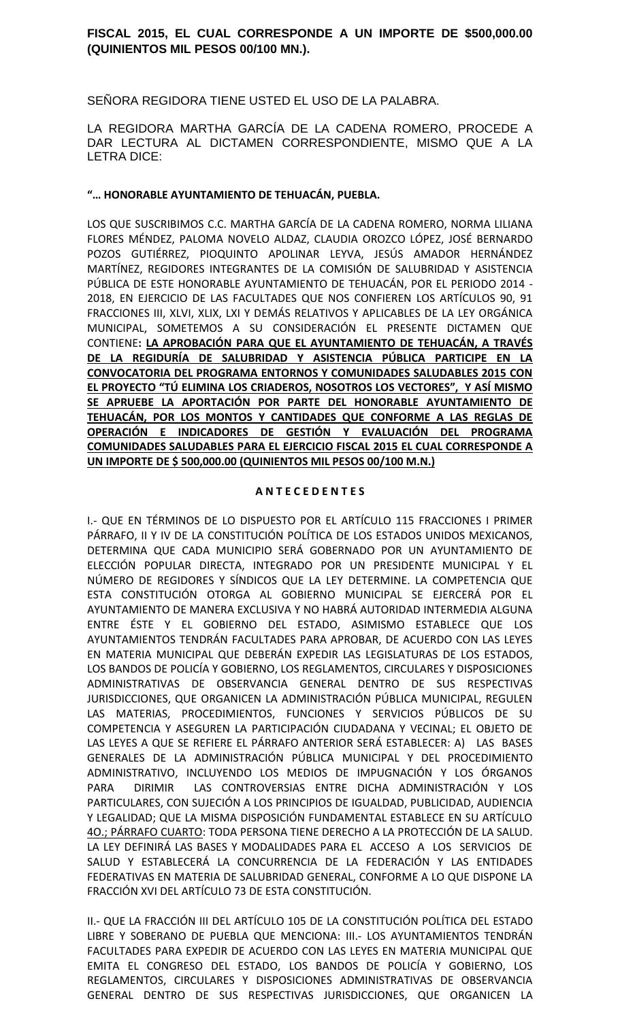# **FISCAL 2015, EL CUAL CORRESPONDE A UN IMPORTE DE \$500,000.00 (QUINIENTOS MIL PESOS 00/100 MN.).**

SEÑORA REGIDORA TIENE USTED EL USO DE LA PALABRA.

LA REGIDORA MARTHA GARCÍA DE LA CADENA ROMERO, PROCEDE A DAR LECTURA AL DICTAMEN CORRESPONDIENTE, MISMO QUE A LA LETRA DICE:

### **"… HONORABLE AYUNTAMIENTO DE TEHUACÁN, PUEBLA.**

LOS QUE SUSCRIBIMOS C.C. MARTHA GARCÍA DE LA CADENA ROMERO, NORMA LILIANA FLORES MÉNDEZ, PALOMA NOVELO ALDAZ, CLAUDIA OROZCO LÓPEZ, JOSÉ BERNARDO POZOS GUTIÉRREZ, PIOQUINTO APOLINAR LEYVA, JESÚS AMADOR HERNÁNDEZ MARTÍNEZ, REGIDORES INTEGRANTES DE LA COMISIÓN DE SALUBRIDAD Y ASISTENCIA PÚBLICA DE ESTE HONORABLE AYUNTAMIENTO DE TEHUACÁN, POR EL PERIODO 2014 - 2018, EN EJERCICIO DE LAS FACULTADES QUE NOS CONFIEREN LOS ARTÍCULOS 90, 91 FRACCIONES III, XLVI, XLIX, LXI Y DEMÁS RELATIVOS Y APLICABLES DE LA LEY ORGÁNICA MUNICIPAL, SOMETEMOS A SU CONSIDERACIÓN EL PRESENTE DICTAMEN QUE CONTIENE**: LA APROBACIÓN PARA QUE EL AYUNTAMIENTO DE TEHUACÁN, A TRAVÉS DE LA REGIDURÍA DE SALUBRIDAD Y ASISTENCIA PÚBLICA PARTICIPE EN LA CONVOCATORIA DEL PROGRAMA ENTORNOS Y COMUNIDADES SALUDABLES 2015 CON EL PROYECTO "TÚ ELIMINA LOS CRIADEROS, NOSOTROS LOS VECTORES", Y ASÍ MISMO SE APRUEBE LA APORTACIÓN POR PARTE DEL HONORABLE AYUNTAMIENTO DE TEHUACÁN, POR LOS MONTOS Y CANTIDADES QUE CONFORME A LAS REGLAS DE OPERACIÓN E INDICADORES DE GESTIÓN Y EVALUACIÓN DEL PROGRAMA COMUNIDADES SALUDABLES PARA EL EJERCICIO FISCAL 2015 EL CUAL CORRESPONDE A UN IMPORTE DE \$ 500,000.00 (QUINIENTOS MIL PESOS 00/100 M.N.)** 

### **A N T E C E D E N T E S**

I.- QUE EN TÉRMINOS DE LO DISPUESTO POR EL ARTÍCULO 115 FRACCIONES I PRIMER PÁRRAFO, II Y IV DE LA CONSTITUCIÓN POLÍTICA DE LOS ESTADOS UNIDOS MEXICANOS, DETERMINA QUE CADA MUNICIPIO SERÁ GOBERNADO POR UN AYUNTAMIENTO DE ELECCIÓN POPULAR DIRECTA, INTEGRADO POR UN PRESIDENTE MUNICIPAL Y EL NÚMERO DE REGIDORES Y SÍNDICOS QUE LA LEY DETERMINE. LA COMPETENCIA QUE ESTA CONSTITUCIÓN OTORGA AL GOBIERNO MUNICIPAL SE EJERCERÁ POR EL AYUNTAMIENTO DE MANERA EXCLUSIVA Y NO HABRÁ AUTORIDAD INTERMEDIA ALGUNA ENTRE ÉSTE Y EL GOBIERNO DEL ESTADO, ASIMISMO ESTABLECE QUE LOS AYUNTAMIENTOS TENDRÁN FACULTADES PARA APROBAR, DE ACUERDO CON LAS LEYES EN MATERIA MUNICIPAL QUE DEBERÁN EXPEDIR LAS LEGISLATURAS DE LOS ESTADOS, LOS BANDOS DE POLICÍA Y GOBIERNO, LOS REGLAMENTOS, CIRCULARES Y DISPOSICIONES ADMINISTRATIVAS DE OBSERVANCIA GENERAL DENTRO DE SUS RESPECTIVAS JURISDICCIONES, QUE ORGANICEN LA ADMINISTRACIÓN PÚBLICA MUNICIPAL, REGULEN LAS MATERIAS, PROCEDIMIENTOS, FUNCIONES Y SERVICIOS PÚBLICOS DE SU COMPETENCIA Y ASEGUREN LA PARTICIPACIÓN CIUDADANA Y VECINAL; EL OBJETO DE LAS LEYES A QUE SE REFIERE EL PÁRRAFO ANTERIOR SERÁ ESTABLECER: A) LAS BASES GENERALES DE LA ADMINISTRACIÓN PÚBLICA MUNICIPAL Y DEL PROCEDIMIENTO ADMINISTRATIVO, INCLUYENDO LOS MEDIOS DE IMPUGNACIÓN Y LOS ÓRGANOS PARA DIRIMIR LAS CONTROVERSIAS ENTRE DICHA ADMINISTRACIÓN Y LOS PARTICULARES, CON SUJECIÓN A LOS PRINCIPIOS DE IGUALDAD, PUBLICIDAD, AUDIENCIA Y LEGALIDAD; QUE LA MISMA DISPOSICIÓN FUNDAMENTAL ESTABLECE EN SU ARTÍCULO 4O.; PÁRRAFO CUARTO: TODA PERSONA TIENE DERECHO A LA PROTECCIÓN DE LA SALUD. LA LEY DEFINIRÁ LAS BASES Y MODALIDADES PARA EL ACCESO A LOS SERVICIOS DE SALUD Y ESTABLECERÁ LA CONCURRENCIA DE LA FEDERACIÓN Y LAS ENTIDADES FEDERATIVAS EN MATERIA DE SALUBRIDAD GENERAL, CONFORME A LO QUE DISPONE LA FRACCIÓN XVI DEL ARTÍCULO 73 DE ESTA CONSTITUCIÓN.

II.- QUE LA FRACCIÓN III DEL ARTÍCULO 105 DE LA CONSTITUCIÓN POLÍTICA DEL ESTADO LIBRE Y SOBERANO DE PUEBLA QUE MENCIONA: III.- LOS AYUNTAMIENTOS TENDRÁN FACULTADES PARA EXPEDIR DE ACUERDO CON LAS LEYES EN MATERIA MUNICIPAL QUE EMITA EL CONGRESO DEL ESTADO, LOS BANDOS DE POLICÍA Y GOBIERNO, LOS REGLAMENTOS, CIRCULARES Y DISPOSICIONES ADMINISTRATIVAS DE OBSERVANCIA GENERAL DENTRO DE SUS RESPECTIVAS JURISDICCIONES, QUE ORGANICEN LA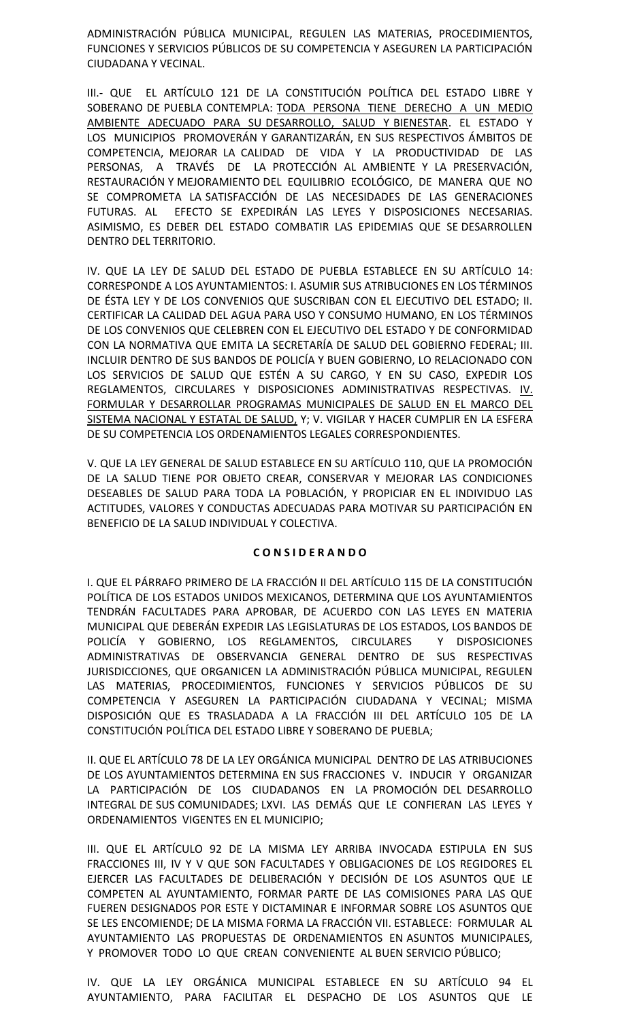ADMINISTRACIÓN PÚBLICA MUNICIPAL, REGULEN LAS MATERIAS, PROCEDIMIENTOS, FUNCIONES Y SERVICIOS PÚBLICOS DE SU COMPETENCIA Y ASEGUREN LA PARTICIPACIÓN CIUDADANA Y VECINAL.

III.- QUE EL ARTÍCULO 121 DE LA CONSTITUCIÓN POLÍTICA DEL ESTADO LIBRE Y SOBERANO DE PUEBLA CONTEMPLA: TODA PERSONA TIENE DERECHO A UN MEDIO AMBIENTE ADECUADO PARA SU DESARROLLO, SALUD Y BIENESTAR. EL ESTADO Y LOS MUNICIPIOS PROMOVERÁN Y GARANTIZARÁN, EN SUS RESPECTIVOS ÁMBITOS DE COMPETENCIA, MEJORAR LA CALIDAD DE VIDA Y LA PRODUCTIVIDAD DE LAS PERSONAS, A TRAVÉS DE LA PROTECCIÓN AL AMBIENTE Y LA PRESERVACIÓN, RESTAURACIÓN Y MEJORAMIENTO DEL EQUILIBRIO ECOLÓGICO, DE MANERA QUE NO SE COMPROMETA LA SATISFACCIÓN DE LAS NECESIDADES DE LAS GENERACIONES FUTURAS. AL EFECTO SE EXPEDIRÁN LAS LEYES Y DISPOSICIONES NECESARIAS. ASIMISMO, ES DEBER DEL ESTADO COMBATIR LAS EPIDEMIAS QUE SE DESARROLLEN DENTRO DEL TERRITORIO.

IV. QUE LA LEY DE SALUD DEL ESTADO DE PUEBLA ESTABLECE EN SU ARTÍCULO 14: CORRESPONDE A LOS AYUNTAMIENTOS: I. ASUMIR SUS ATRIBUCIONES EN LOS TÉRMINOS DE ÉSTA LEY Y DE LOS CONVENIOS QUE SUSCRIBAN CON EL EJECUTIVO DEL ESTADO; II. CERTIFICAR LA CALIDAD DEL AGUA PARA USO Y CONSUMO HUMANO, EN LOS TÉRMINOS DE LOS CONVENIOS QUE CELEBREN CON EL EJECUTIVO DEL ESTADO Y DE CONFORMIDAD CON LA NORMATIVA QUE EMITA LA SECRETARÍA DE SALUD DEL GOBIERNO FEDERAL; III. INCLUIR DENTRO DE SUS BANDOS DE POLICÍA Y BUEN GOBIERNO, LO RELACIONADO CON LOS SERVICIOS DE SALUD QUE ESTÉN A SU CARGO, Y EN SU CASO, EXPEDIR LOS REGLAMENTOS, CIRCULARES Y DISPOSICIONES ADMINISTRATIVAS RESPECTIVAS. IV. FORMULAR Y DESARROLLAR PROGRAMAS MUNICIPALES DE SALUD EN EL MARCO DEL SISTEMA NACIONAL Y ESTATAL DE SALUD, Y; V. VIGILAR Y HACER CUMPLIR EN LA ESFERA DE SU COMPETENCIA LOS ORDENAMIENTOS LEGALES CORRESPONDIENTES.

V. QUE LA LEY GENERAL DE SALUD ESTABLECE EN SU ARTÍCULO 110, QUE LA PROMOCIÓN DE LA SALUD TIENE POR OBJETO CREAR, CONSERVAR Y MEJORAR LAS CONDICIONES DESEABLES DE SALUD PARA TODA LA POBLACIÓN, Y PROPICIAR EN EL INDIVIDUO LAS ACTITUDES, VALORES Y CONDUCTAS ADECUADAS PARA MOTIVAR SU PARTICIPACIÓN EN BENEFICIO DE LA SALUD INDIVIDUAL Y COLECTIVA.

### **C O N S I D E R A N D O**

I. QUE EL PÁRRAFO PRIMERO DE LA FRACCIÓN II DEL ARTÍCULO 115 DE LA CONSTITUCIÓN POLÍTICA DE LOS ESTADOS UNIDOS MEXICANOS, DETERMINA QUE LOS AYUNTAMIENTOS TENDRÁN FACULTADES PARA APROBAR, DE ACUERDO CON LAS LEYES EN MATERIA MUNICIPAL QUE DEBERÁN EXPEDIR LAS LEGISLATURAS DE LOS ESTADOS, LOS BANDOS DE POLICÍA Y GOBIERNO, LOS REGLAMENTOS, CIRCULARES Y DISPOSICIONES ADMINISTRATIVAS DE OBSERVANCIA GENERAL DENTRO DE SUS RESPECTIVAS JURISDICCIONES, QUE ORGANICEN LA ADMINISTRACIÓN PÚBLICA MUNICIPAL, REGULEN LAS MATERIAS, PROCEDIMIENTOS, FUNCIONES Y SERVICIOS PÚBLICOS DE SU COMPETENCIA Y ASEGUREN LA PARTICIPACIÓN CIUDADANA Y VECINAL; MISMA DISPOSICIÓN QUE ES TRASLADADA A LA FRACCIÓN III DEL ARTÍCULO 105 DE LA CONSTITUCIÓN POLÍTICA DEL ESTADO LIBRE Y SOBERANO DE PUEBLA;

II. QUE EL ARTÍCULO 78 DE LA LEY ORGÁNICA MUNICIPAL DENTRO DE LAS ATRIBUCIONES DE LOS AYUNTAMIENTOS DETERMINA EN SUS FRACCIONES V. INDUCIR Y ORGANIZAR LA PARTICIPACIÓN DE LOS CIUDADANOS EN LA PROMOCIÓN DEL DESARROLLO INTEGRAL DE SUS COMUNIDADES; LXVI. LAS DEMÁS QUE LE CONFIERAN LAS LEYES Y ORDENAMIENTOS VIGENTES EN EL MUNICIPIO;

III. QUE EL ARTÍCULO 92 DE LA MISMA LEY ARRIBA INVOCADA ESTIPULA EN SUS FRACCIONES III, IV Y V QUE SON FACULTADES Y OBLIGACIONES DE LOS REGIDORES EL EJERCER LAS FACULTADES DE DELIBERACIÓN Y DECISIÓN DE LOS ASUNTOS QUE LE COMPETEN AL AYUNTAMIENTO, FORMAR PARTE DE LAS COMISIONES PARA LAS QUE FUEREN DESIGNADOS POR ESTE Y DICTAMINAR E INFORMAR SOBRE LOS ASUNTOS QUE SE LES ENCOMIENDE; DE LA MISMA FORMA LA FRACCIÓN VII. ESTABLECE: FORMULAR AL AYUNTAMIENTO LAS PROPUESTAS DE ORDENAMIENTOS EN ASUNTOS MUNICIPALES, Y PROMOVER TODO LO QUE CREAN CONVENIENTE AL BUEN SERVICIO PÚBLICO;

IV. QUE LA LEY ORGÁNICA MUNICIPAL ESTABLECE EN SU ARTÍCULO 94 EL AYUNTAMIENTO, PARA FACILITAR EL DESPACHO DE LOS ASUNTOS QUE LE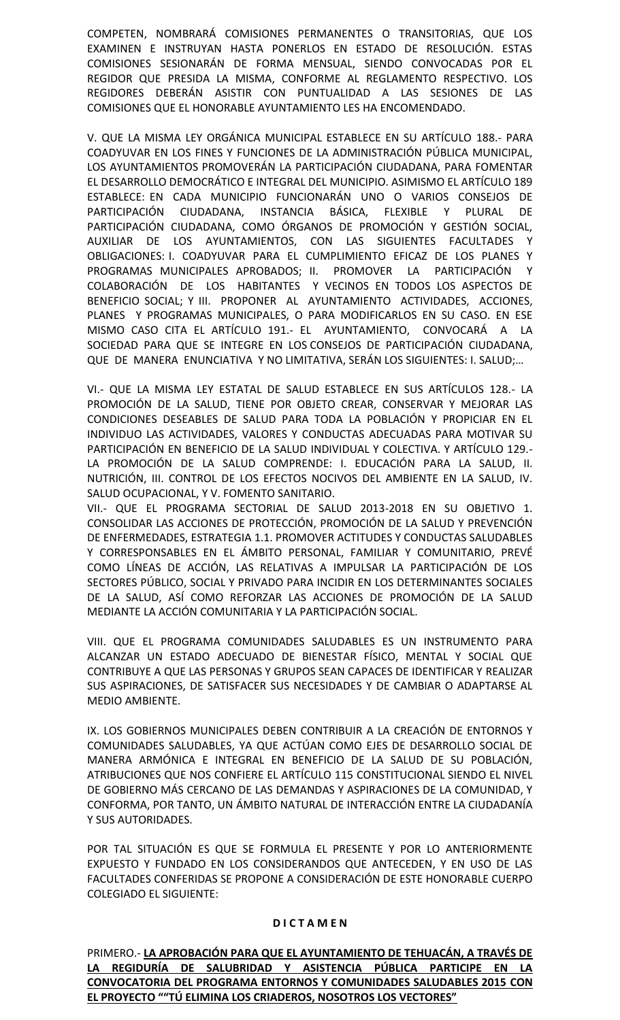COMPETEN, NOMBRARÁ COMISIONES PERMANENTES O TRANSITORIAS, QUE LOS EXAMINEN E INSTRUYAN HASTA PONERLOS EN ESTADO DE RESOLUCIÓN. ESTAS COMISIONES SESIONARÁN DE FORMA MENSUAL, SIENDO CONVOCADAS POR EL REGIDOR QUE PRESIDA LA MISMA, CONFORME AL REGLAMENTO RESPECTIVO. LOS REGIDORES DEBERÁN ASISTIR CON PUNTUALIDAD A LAS SESIONES DE LAS COMISIONES QUE EL HONORABLE AYUNTAMIENTO LES HA ENCOMENDADO.

V. QUE LA MISMA LEY ORGÁNICA MUNICIPAL ESTABLECE EN SU ARTÍCULO 188.- PARA COADYUVAR EN LOS FINES Y FUNCIONES DE LA ADMINISTRACIÓN PÚBLICA MUNICIPAL, LOS AYUNTAMIENTOS PROMOVERÁN LA PARTICIPACIÓN CIUDADANA, PARA FOMENTAR EL DESARROLLO DEMOCRÁTICO E INTEGRAL DEL MUNICIPIO. ASIMISMO EL ARTÍCULO 189 ESTABLECE: EN CADA MUNICIPIO FUNCIONARÁN UNO O VARIOS CONSEJOS DE PARTICIPACIÓN CIUDADANA, INSTANCIA BÁSICA, FLEXIBLE Y PLURAL DE PARTICIPACIÓN CIUDADANA, COMO ÓRGANOS DE PROMOCIÓN Y GESTIÓN SOCIAL, AUXILIAR DE LOS AYUNTAMIENTOS, CON LAS SIGUIENTES FACULTADES Y OBLIGACIONES: I. COADYUVAR PARA EL CUMPLIMIENTO EFICAZ DE LOS PLANES Y PROGRAMAS MUNICIPALES APROBADOS; II. PROMOVER LA PARTICIPACIÓN Y COLABORACIÓN DE LOS HABITANTES Y VECINOS EN TODOS LOS ASPECTOS DE BENEFICIO SOCIAL; Y III. PROPONER AL AYUNTAMIENTO ACTIVIDADES, ACCIONES, PLANES Y PROGRAMAS MUNICIPALES, O PARA MODIFICARLOS EN SU CASO. EN ESE MISMO CASO CITA EL ARTÍCULO 191.- EL AYUNTAMIENTO, CONVOCARÁ A LA SOCIEDAD PARA QUE SE INTEGRE EN LOS CONSEJOS DE PARTICIPACIÓN CIUDADANA, QUE DE MANERA ENUNCIATIVA Y NO LIMITATIVA, SERÁN LOS SIGUIENTES: I. SALUD;…

VI.- QUE LA MISMA LEY ESTATAL DE SALUD ESTABLECE EN SUS ARTÍCULOS 128.- LA PROMOCIÓN DE LA SALUD, TIENE POR OBJETO CREAR, CONSERVAR Y MEJORAR LAS CONDICIONES DESEABLES DE SALUD PARA TODA LA POBLACIÓN Y PROPICIAR EN EL INDIVIDUO LAS ACTIVIDADES, VALORES Y CONDUCTAS ADECUADAS PARA MOTIVAR SU PARTICIPACIÓN EN BENEFICIO DE LA SALUD INDIVIDUAL Y COLECTIVA. Y ARTÍCULO 129.- LA PROMOCIÓN DE LA SALUD COMPRENDE: I. EDUCACIÓN PARA LA SALUD, II. NUTRICIÓN, III. CONTROL DE LOS EFECTOS NOCIVOS DEL AMBIENTE EN LA SALUD, IV. SALUD OCUPACIONAL, Y V. FOMENTO SANITARIO.

VII.- QUE EL PROGRAMA SECTORIAL DE SALUD 2013-2018 EN SU OBJETIVO 1. CONSOLIDAR LAS ACCIONES DE PROTECCIÓN, PROMOCIÓN DE LA SALUD Y PREVENCIÓN DE ENFERMEDADES, ESTRATEGIA 1.1. PROMOVER ACTITUDES Y CONDUCTAS SALUDABLES Y CORRESPONSABLES EN EL ÁMBITO PERSONAL, FAMILIAR Y COMUNITARIO, PREVÉ COMO LÍNEAS DE ACCIÓN, LAS RELATIVAS A IMPULSAR LA PARTICIPACIÓN DE LOS SECTORES PÚBLICO, SOCIAL Y PRIVADO PARA INCIDIR EN LOS DETERMINANTES SOCIALES DE LA SALUD, ASÍ COMO REFORZAR LAS ACCIONES DE PROMOCIÓN DE LA SALUD MEDIANTE LA ACCIÓN COMUNITARIA Y LA PARTICIPACIÓN SOCIAL.

VIII. QUE EL PROGRAMA COMUNIDADES SALUDABLES ES UN INSTRUMENTO PARA ALCANZAR UN ESTADO ADECUADO DE BIENESTAR FÍSICO, MENTAL Y SOCIAL QUE CONTRIBUYE A QUE LAS PERSONAS Y GRUPOS SEAN CAPACES DE IDENTIFICAR Y REALIZAR SUS ASPIRACIONES, DE SATISFACER SUS NECESIDADES Y DE CAMBIAR O ADAPTARSE AL MEDIO AMBIENTE.

IX. LOS GOBIERNOS MUNICIPALES DEBEN CONTRIBUIR A LA CREACIÓN DE ENTORNOS Y COMUNIDADES SALUDABLES, YA QUE ACTÚAN COMO EJES DE DESARROLLO SOCIAL DE MANERA ARMÓNICA E INTEGRAL EN BENEFICIO DE LA SALUD DE SU POBLACIÓN, ATRIBUCIONES QUE NOS CONFIERE EL ARTÍCULO 115 CONSTITUCIONAL SIENDO EL NIVEL DE GOBIERNO MÁS CERCANO DE LAS DEMANDAS Y ASPIRACIONES DE LA COMUNIDAD, Y CONFORMA, POR TANTO, UN ÁMBITO NATURAL DE INTERACCIÓN ENTRE LA CIUDADANÍA Y SUS AUTORIDADES.

POR TAL SITUACIÓN ES QUE SE FORMULA EL PRESENTE Y POR LO ANTERIORMENTE EXPUESTO Y FUNDADO EN LOS CONSIDERANDOS QUE ANTECEDEN, Y EN USO DE LAS FACULTADES CONFERIDAS SE PROPONE A CONSIDERACIÓN DE ESTE HONORABLE CUERPO COLEGIADO EL SIGUIENTE:

### **D I C T A M E N**

PRIMERO.- **LA APROBACIÓN PARA QUE EL AYUNTAMIENTO DE TEHUACÁN, A TRAVÉS DE LA REGIDURÍA DE SALUBRIDAD Y ASISTENCIA PÚBLICA PARTICIPE EN LA CONVOCATORIA DEL PROGRAMA ENTORNOS Y COMUNIDADES SALUDABLES 2015 CON EL PROYECTO ""TÚ ELIMINA LOS CRIADEROS, NOSOTROS LOS VECTORES"**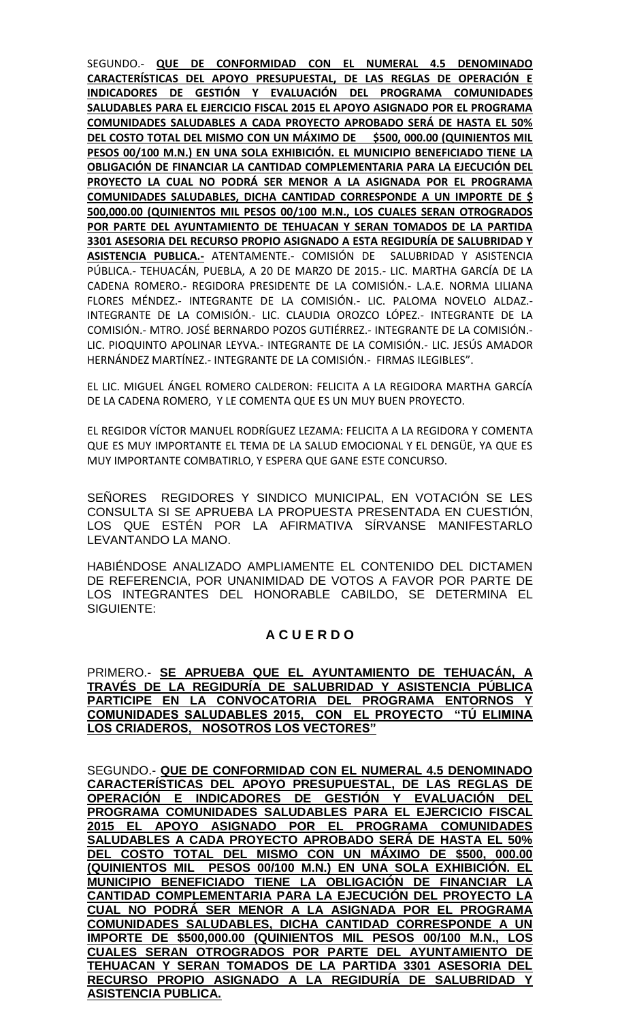SEGUNDO.- **QUE DE CONFORMIDAD CON EL NUMERAL 4.5 DENOMINADO CARACTERÍSTICAS DEL APOYO PRESUPUESTAL, DE LAS REGLAS DE OPERACIÓN E INDICADORES DE GESTIÓN Y EVALUACIÓN DEL PROGRAMA COMUNIDADES SALUDABLES PARA EL EJERCICIO FISCAL 2015 EL APOYO ASIGNADO POR EL PROGRAMA COMUNIDADES SALUDABLES A CADA PROYECTO APROBADO SERÁ DE HASTA EL 50% DEL COSTO TOTAL DEL MISMO CON UN MÁXIMO DE \$500, 000.00 (QUINIENTOS MIL PESOS 00/100 M.N.) EN UNA SOLA EXHIBICIÓN. EL MUNICIPIO BENEFICIADO TIENE LA OBLIGACIÓN DE FINANCIAR LA CANTIDAD COMPLEMENTARIA PARA LA EJECUCIÓN DEL PROYECTO LA CUAL NO PODRÁ SER MENOR A LA ASIGNADA POR EL PROGRAMA COMUNIDADES SALUDABLES, DICHA CANTIDAD CORRESPONDE A UN IMPORTE DE \$ 500,000.00 (QUINIENTOS MIL PESOS 00/100 M.N., LOS CUALES SERAN OTROGRADOS POR PARTE DEL AYUNTAMIENTO DE TEHUACAN Y SERAN TOMADOS DE LA PARTIDA 3301 ASESORIA DEL RECURSO PROPIO ASIGNADO A ESTA REGIDURÍA DE SALUBRIDAD Y ASISTENCIA PUBLICA.-** ATENTAMENTE.- COMISIÓN DE SALUBRIDAD Y ASISTENCIA PÚBLICA.- TEHUACÁN, PUEBLA, A 20 DE MARZO DE 2015.- LIC. MARTHA GARCÍA DE LA CADENA ROMERO.- REGIDORA PRESIDENTE DE LA COMISIÓN.- L.A.E. NORMA LILIANA FLORES MÉNDEZ.- INTEGRANTE DE LA COMISIÓN.- LIC. PALOMA NOVELO ALDAZ.- INTEGRANTE DE LA COMISIÓN.- LIC. CLAUDIA OROZCO LÓPEZ.- INTEGRANTE DE LA COMISIÓN.- MTRO. JOSÉ BERNARDO POZOS GUTIÉRREZ.- INTEGRANTE DE LA COMISIÓN.- LIC. PIOQUINTO APOLINAR LEYVA.- INTEGRANTE DE LA COMISIÓN.- LIC. JESÚS AMADOR HERNÁNDEZ MARTÍNEZ.- INTEGRANTE DE LA COMISIÓN.- FIRMAS ILEGIBLES".

EL LIC. MIGUEL ÁNGEL ROMERO CALDERON: FELICITA A LA REGIDORA MARTHA GARCÍA DE LA CADENA ROMERO, Y LE COMENTA QUE ES UN MUY BUEN PROYECTO.

EL REGIDOR VÍCTOR MANUEL RODRÍGUEZ LEZAMA: FELICITA A LA REGIDORA Y COMENTA QUE ES MUY IMPORTANTE EL TEMA DE LA SALUD EMOCIONAL Y EL DENGÜE, YA QUE ES MUY IMPORTANTE COMBATIRLO, Y ESPERA QUE GANE ESTE CONCURSO.

SEÑORES REGIDORES Y SINDICO MUNICIPAL, EN VOTACIÓN SE LES CONSULTA SI SE APRUEBA LA PROPUESTA PRESENTADA EN CUESTIÓN, LOS QUE ESTÉN POR LA AFIRMATIVA SÍRVANSE MANIFESTARLO LEVANTANDO LA MANO.

HABIÉNDOSE ANALIZADO AMPLIAMENTE EL CONTENIDO DEL DICTAMEN DE REFERENCIA, POR UNANIMIDAD DE VOTOS A FAVOR POR PARTE DE LOS INTEGRANTES DEL HONORABLE CABILDO, SE DETERMINA EL SIGUIENTE:

# **A C U E R D O**

PRIMERO.- SE APRUEBA QUE EL AYUNTAMIENTO DE TEHUACÁN, **TRAVÉS DE LA REGIDURÍA DE SALUBRIDAD Y ASISTENCIA PÚBLICA PARTICIPE EN LA CONVOCATORIA DEL PROGRAMA ENTORNOS Y COMUNIDADES SALUDABLES 2015, CON EL PROYECTO "TÚ ELIMINA LOS CRIADEROS, NOSOTROS LOS VECTORES"**

SEGUNDO.- **QUE DE CONFORMIDAD CON EL NUMERAL 4.5 DENOMINADO CARACTERÍSTICAS DEL APOYO PRESUPUESTAL, DE LAS REGLAS DE OPERACIÓN E INDICADORES DE GESTIÓN Y EVALUACIÓN DEL PROGRAMA COMUNIDADES SALUDABLES PARA EL EJERCICIO FISCAL 2015 EL APOYO ASIGNADO POR EL PROGRAMA COMUNIDADES SALUDABLES A CADA PROYECTO APROBADO SERÁ DE HASTA EL 50% DEL COSTO TOTAL DEL MISMO CON UN MÁXIMO DE \$500, 000.00 (QUINIENTOS MIL PESOS 00/100 M.N.) EN UNA SOLA EXHIBICIÓN. EL MUNICIPIO BENEFICIADO TIENE LA OBLIGACIÓN DE FINANCIAR LA CANTIDAD COMPLEMENTARIA PARA LA EJECUCIÓN DEL PROYECTO LA CUAL NO PODRÁ SER MENOR A LA ASIGNADA POR EL PROGRAMA COMUNIDADES SALUDABLES, DICHA CANTIDAD CORRESPONDE A UN IMPORTE DE \$500,000.00 (QUINIENTOS MIL PESOS 00/100 M.N., LOS CUALES SERAN OTROGRADOS POR PARTE DEL AYUNTAMIENTO DE TEHUACAN Y SERAN TOMADOS DE LA PARTIDA 3301 ASESORIA DEL RECURSO PROPIO ASIGNADO A LA REGIDURÍA DE SALUBRIDAD Y ASISTENCIA PUBLICA.**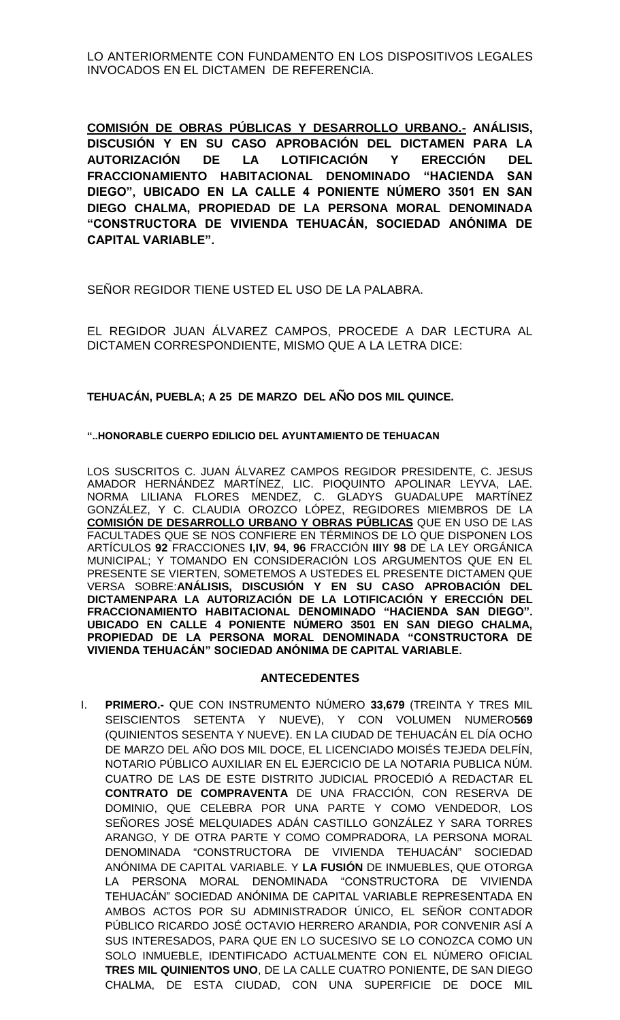**COMISIÓN DE OBRAS PÚBLICAS Y DESARROLLO URBANO.- ANÁLISIS, DISCUSIÓN Y EN SU CASO APROBACIÓN DEL DICTAMEN PARA LA AUTORIZACIÓN DE LA LOTIFICACIÓN Y ERECCIÓN DEL FRACCIONAMIENTO HABITACIONAL DENOMINADO "HACIENDA SAN DIEGO", UBICADO EN LA CALLE 4 PONIENTE NÚMERO 3501 EN SAN DIEGO CHALMA, PROPIEDAD DE LA PERSONA MORAL DENOMINADA "CONSTRUCTORA DE VIVIENDA TEHUACÁN, SOCIEDAD ANÓNIMA DE CAPITAL VARIABLE".**

SEÑOR REGIDOR TIENE USTED EL USO DE LA PALABRA.

EL REGIDOR JUAN ÁLVAREZ CAMPOS, PROCEDE A DAR LECTURA AL DICTAMEN CORRESPONDIENTE, MISMO QUE A LA LETRA DICE:

**TEHUACÁN, PUEBLA; A 25 DE MARZO DEL AÑO DOS MIL QUINCE.**

### **"..HONORABLE CUERPO EDILICIO DEL AYUNTAMIENTO DE TEHUACAN**

LOS SUSCRITOS C. JUAN ÁLVAREZ CAMPOS REGIDOR PRESIDENTE, C. JESUS AMADOR HERNÁNDEZ MARTÍNEZ, LIC. PIOQUINTO APOLINAR LEYVA, LAE. NORMA LILIANA FLORES MENDEZ, C. GLADYS GUADALUPE MARTÍNEZ GONZÁLEZ, Y C. CLAUDIA OROZCO LÓPEZ, REGIDORES MIEMBROS DE LA **COMISIÓN DE DESARROLLO URBANO Y OBRAS PÚBLICAS** QUE EN USO DE LAS FACULTADES QUE SE NOS CONFIERE EN TÉRMINOS DE LO QUE DISPONEN LOS ARTÍCULOS **92** FRACCIONES **I,IV**, **94**, **96** FRACCIÓN **III**Y **98** DE LA LEY ORGÁNICA MUNICIPAL; Y TOMANDO EN CONSIDERACIÓN LOS ARGUMENTOS QUE EN EL PRESENTE SE VIERTEN, SOMETEMOS A USTEDES EL PRESENTE DICTAMEN QUE VERSA SOBRE:**ANÁLISIS, DISCUSIÓN Y EN SU CASO APROBACIÓN DEL DICTAMENPARA LA AUTORIZACIÓN DE LA LOTIFICACIÓN Y ERECCIÓN DEL FRACCIONAMIENTO HABITACIONAL DENOMINADO "HACIENDA SAN DIEGO". UBICADO EN CALLE 4 PONIENTE NÚMERO 3501 EN SAN DIEGO CHALMA, PROPIEDAD DE LA PERSONA MORAL DENOMINADA "CONSTRUCTORA DE VIVIENDA TEHUACÁN" SOCIEDAD ANÓNIMA DE CAPITAL VARIABLE.**

### **ANTECEDENTES**

I. **PRIMERO.-** QUE CON INSTRUMENTO NÚMERO **33,679** (TREINTA Y TRES MIL SEISCIENTOS SETENTA Y NUEVE), Y CON VOLUMEN NUMERO**569**  (QUINIENTOS SESENTA Y NUEVE). EN LA CIUDAD DE TEHUACÁN EL DÍA OCHO DE MARZO DEL AÑO DOS MIL DOCE, EL LICENCIADO MOISÉS TEJEDA DELFÍN, NOTARIO PÚBLICO AUXILIAR EN EL EJERCICIO DE LA NOTARIA PUBLICA NÚM. CUATRO DE LAS DE ESTE DISTRITO JUDICIAL PROCEDIÓ A REDACTAR EL **CONTRATO DE COMPRAVENTA** DE UNA FRACCIÓN, CON RESERVA DE DOMINIO, QUE CELEBRA POR UNA PARTE Y COMO VENDEDOR, LOS SEÑORES JOSÉ MELQUIADES ADÁN CASTILLO GONZÁLEZ Y SARA TORRES ARANGO, Y DE OTRA PARTE Y COMO COMPRADORA, LA PERSONA MORAL DENOMINADA "CONSTRUCTORA DE VIVIENDA TEHUACÁN" SOCIEDAD ANÓNIMA DE CAPITAL VARIABLE. Y **LA FUSIÓN** DE INMUEBLES, QUE OTORGA LA PERSONA MORAL DENOMINADA "CONSTRUCTORA DE VIVIENDA TEHUACÁN" SOCIEDAD ANÓNIMA DE CAPITAL VARIABLE REPRESENTADA EN AMBOS ACTOS POR SU ADMINISTRADOR ÚNICO, EL SEÑOR CONTADOR PÚBLICO RICARDO JOSÉ OCTAVIO HERRERO ARANDIA, POR CONVENIR ASÍ A SUS INTERESADOS, PARA QUE EN LO SUCESIVO SE LO CONOZCA COMO UN SOLO INMUEBLE, IDENTIFICADO ACTUALMENTE CON EL NÚMERO OFICIAL **TRES MIL QUINIENTOS UNO**, DE LA CALLE CUATRO PONIENTE, DE SAN DIEGO CHALMA, DE ESTA CIUDAD, CON UNA SUPERFICIE DE DOCE MIL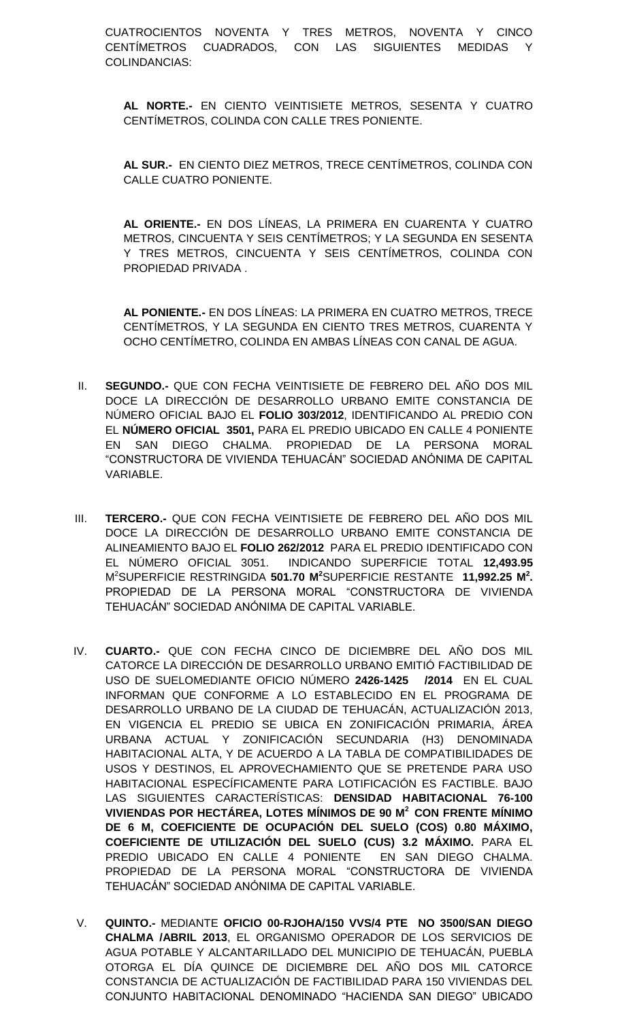CUATROCIENTOS NOVENTA Y TRES METROS, NOVENTA Y CINCO CENTÍMETROS CUADRADOS, CON LAS SIGUIENTES MEDIDAS Y COLINDANCIAS:

**AL NORTE.-** EN CIENTO VEINTISIETE METROS, SESENTA Y CUATRO CENTÍMETROS, COLINDA CON CALLE TRES PONIENTE.

**AL SUR.-** EN CIENTO DIEZ METROS, TRECE CENTÍMETROS, COLINDA CON CALLE CUATRO PONIENTE.

**AL ORIENTE.-** EN DOS LÍNEAS, LA PRIMERA EN CUARENTA Y CUATRO METROS, CINCUENTA Y SEIS CENTÍMETROS; Y LA SEGUNDA EN SESENTA Y TRES METROS, CINCUENTA Y SEIS CENTÍMETROS, COLINDA CON PROPIEDAD PRIVADA .

**AL PONIENTE.-** EN DOS LÍNEAS: LA PRIMERA EN CUATRO METROS, TRECE CENTÍMETROS, Y LA SEGUNDA EN CIENTO TRES METROS, CUARENTA Y OCHO CENTÍMETRO, COLINDA EN AMBAS LÍNEAS CON CANAL DE AGUA.

- II. **SEGUNDO.-** QUE CON FECHA VEINTISIETE DE FEBRERO DEL AÑO DOS MIL DOCE LA DIRECCIÓN DE DESARROLLO URBANO EMITE CONSTANCIA DE NÚMERO OFICIAL BAJO EL **FOLIO 303/2012**, IDENTIFICANDO AL PREDIO CON EL **NÚMERO OFICIAL 3501,** PARA EL PREDIO UBICADO EN CALLE 4 PONIENTE EN SAN DIEGO CHALMA. PROPIEDAD DE LA PERSONA MORAL "CONSTRUCTORA DE VIVIENDA TEHUACÁN" SOCIEDAD ANÓNIMA DE CAPITAL VARIABLE.
- III. **TERCERO.-** QUE CON FECHA VEINTISIETE DE FEBRERO DEL AÑO DOS MIL DOCE LA DIRECCIÓN DE DESARROLLO URBANO EMITE CONSTANCIA DE ALINEAMIENTO BAJO EL **FOLIO 262/2012** PARA EL PREDIO IDENTIFICADO CON EL NÚMERO OFICIAL 3051. INDICANDO SUPERFICIE TOTAL **12,493.95** M <sup>2</sup>SUPERFICIE RESTRINGIDA **501.70 M<sup>2</sup>**SUPERFICIE RESTANTE **11,992.25 M<sup>2</sup> .** PROPIEDAD DE LA PERSONA MORAL "CONSTRUCTORA DE VIVIENDA TEHUACÁN" SOCIEDAD ANÓNIMA DE CAPITAL VARIABLE.
- IV. **CUARTO.-** QUE CON FECHA CINCO DE DICIEMBRE DEL AÑO DOS MIL CATORCE LA DIRECCIÓN DE DESARROLLO URBANO EMITIÓ FACTIBILIDAD DE USO DE SUELOMEDIANTE OFICIO NÚMERO **2426-1425 /2014** EN EL CUAL INFORMAN QUE CONFORME A LO ESTABLECIDO EN EL PROGRAMA DE DESARROLLO URBANO DE LA CIUDAD DE TEHUACÁN, ACTUALIZACIÓN 2013, EN VIGENCIA EL PREDIO SE UBICA EN ZONIFICACIÓN PRIMARIA, ÁREA URBANA ACTUAL Y ZONIFICACIÓN SECUNDARIA (H3) DENOMINADA HABITACIONAL ALTA, Y DE ACUERDO A LA TABLA DE COMPATIBILIDADES DE USOS Y DESTINOS, EL APROVECHAMIENTO QUE SE PRETENDE PARA USO HABITACIONAL ESPECÍFICAMENTE PARA LOTIFICACIÓN ES FACTIBLE. BAJO LAS SIGUIENTES CARACTERÍSTICAS: **DENSIDAD HABITACIONAL 76-100 VIVIENDAS POR HECTÁREA, LOTES MÍNIMOS DE 90 M<sup>2</sup>CON FRENTE MÍNIMO DE 6 M, COEFICIENTE DE OCUPACIÓN DEL SUELO (COS) 0.80 MÁXIMO, COEFICIENTE DE UTILIZACIÓN DEL SUELO (CUS) 3.2 MÁXIMO.** PARA EL PREDIO UBICADO EN CALLE 4 PONIENTE EN SAN DIEGO CHALMA. PROPIEDAD DE LA PERSONA MORAL "CONSTRUCTORA DE VIVIENDA TEHUACÁN" SOCIEDAD ANÓNIMA DE CAPITAL VARIABLE.
- V. **QUINTO.-** MEDIANTE **OFICIO 00-RJOHA/150 VVS/4 PTE NO 3500/SAN DIEGO CHALMA /ABRIL 2013**, EL ORGANISMO OPERADOR DE LOS SERVICIOS DE AGUA POTABLE Y ALCANTARILLADO DEL MUNICIPIO DE TEHUACÁN, PUEBLA OTORGA EL DÍA QUINCE DE DICIEMBRE DEL AÑO DOS MIL CATORCE CONSTANCIA DE ACTUALIZACIÓN DE FACTIBILIDAD PARA 150 VIVIENDAS DEL CONJUNTO HABITACIONAL DENOMINADO "HACIENDA SAN DIEGO" UBICADO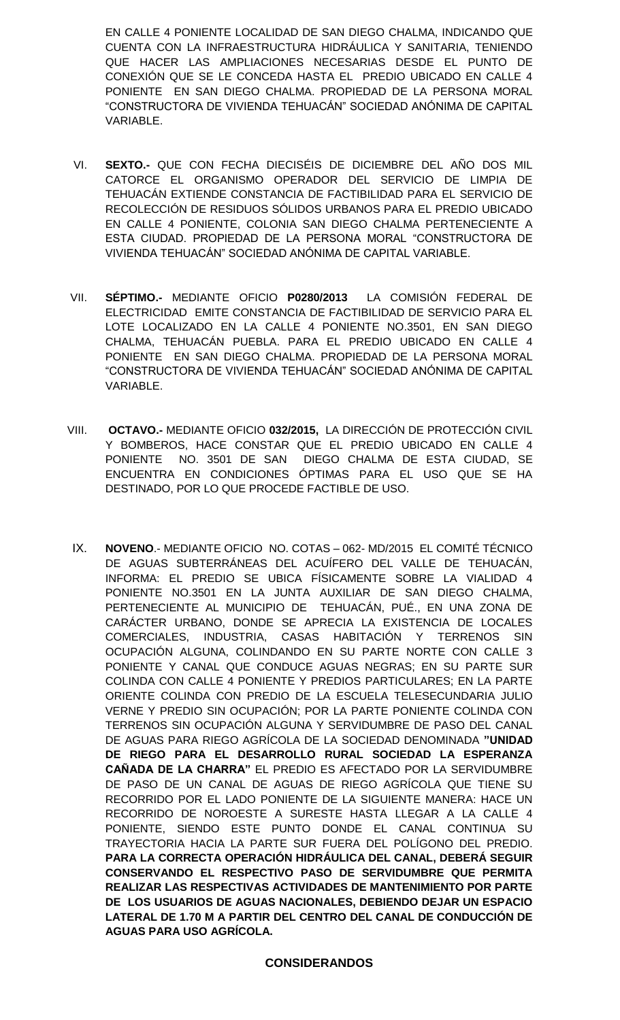EN CALLE 4 PONIENTE LOCALIDAD DE SAN DIEGO CHALMA, INDICANDO QUE CUENTA CON LA INFRAESTRUCTURA HIDRÁULICA Y SANITARIA, TENIENDO QUE HACER LAS AMPLIACIONES NECESARIAS DESDE EL PUNTO DE CONEXIÓN QUE SE LE CONCEDA HASTA EL PREDIO UBICADO EN CALLE 4 PONIENTE EN SAN DIEGO CHALMA. PROPIEDAD DE LA PERSONA MORAL "CONSTRUCTORA DE VIVIENDA TEHUACÁN" SOCIEDAD ANÓNIMA DE CAPITAL VARIABLE.

- VI. **SEXTO.-** QUE CON FECHA DIECISÉIS DE DICIEMBRE DEL AÑO DOS MIL CATORCE EL ORGANISMO OPERADOR DEL SERVICIO DE LIMPIA DE TEHUACÁN EXTIENDE CONSTANCIA DE FACTIBILIDAD PARA EL SERVICIO DE RECOLECCIÓN DE RESIDUOS SÓLIDOS URBANOS PARA EL PREDIO UBICADO EN CALLE 4 PONIENTE, COLONIA SAN DIEGO CHALMA PERTENECIENTE A ESTA CIUDAD. PROPIEDAD DE LA PERSONA MORAL "CONSTRUCTORA DE VIVIENDA TEHUACÁN" SOCIEDAD ANÓNIMA DE CAPITAL VARIABLE.
- VII. **SÉPTIMO.-** MEDIANTE OFICIO **P0280/2013** LA COMISIÓN FEDERAL DE ELECTRICIDAD EMITE CONSTANCIA DE FACTIBILIDAD DE SERVICIO PARA EL LOTE LOCALIZADO EN LA CALLE 4 PONIENTE NO.3501, EN SAN DIEGO CHALMA, TEHUACÁN PUEBLA. PARA EL PREDIO UBICADO EN CALLE 4 PONIENTE EN SAN DIEGO CHALMA. PROPIEDAD DE LA PERSONA MORAL "CONSTRUCTORA DE VIVIENDA TEHUACÁN" SOCIEDAD ANÓNIMA DE CAPITAL VARIABLE.
- VIII. **OCTAVO.-** MEDIANTE OFICIO **032/2015,** LA DIRECCIÓN DE PROTECCIÓN CIVIL Y BOMBEROS, HACE CONSTAR QUE EL PREDIO UBICADO EN CALLE 4 PONIENTE NO. 3501 DE SAN DIEGO CHALMA DE ESTA CIUDAD, SE ENCUENTRA EN CONDICIONES ÓPTIMAS PARA EL USO QUE SE HA DESTINADO, POR LO QUE PROCEDE FACTIBLE DE USO.
- IX. **NOVENO**.- MEDIANTE OFICIO NO. COTAS 062- MD/2015 EL COMITÉ TÉCNICO DE AGUAS SUBTERRÁNEAS DEL ACUÍFERO DEL VALLE DE TEHUACÁN, INFORMA: EL PREDIO SE UBICA FÍSICAMENTE SOBRE LA VIALIDAD 4 PONIENTE NO.3501 EN LA JUNTA AUXILIAR DE SAN DIEGO CHALMA, PERTENECIENTE AL MUNICIPIO DE TEHUACÁN, PUÉ., EN UNA ZONA DE CARÁCTER URBANO, DONDE SE APRECIA LA EXISTENCIA DE LOCALES COMERCIALES, INDUSTRIA, CASAS HABITACIÓN Y TERRENOS SIN OCUPACIÓN ALGUNA, COLINDANDO EN SU PARTE NORTE CON CALLE 3 PONIENTE Y CANAL QUE CONDUCE AGUAS NEGRAS; EN SU PARTE SUR COLINDA CON CALLE 4 PONIENTE Y PREDIOS PARTICULARES; EN LA PARTE ORIENTE COLINDA CON PREDIO DE LA ESCUELA TELESECUNDARIA JULIO VERNE Y PREDIO SIN OCUPACIÓN; POR LA PARTE PONIENTE COLINDA CON TERRENOS SIN OCUPACIÓN ALGUNA Y SERVIDUMBRE DE PASO DEL CANAL DE AGUAS PARA RIEGO AGRÍCOLA DE LA SOCIEDAD DENOMINADA **"UNIDAD DE RIEGO PARA EL DESARROLLO RURAL SOCIEDAD LA ESPERANZA CAÑADA DE LA CHARRA"** EL PREDIO ES AFECTADO POR LA SERVIDUMBRE DE PASO DE UN CANAL DE AGUAS DE RIEGO AGRÍCOLA QUE TIENE SU RECORRIDO POR EL LADO PONIENTE DE LA SIGUIENTE MANERA: HACE UN RECORRIDO DE NOROESTE A SURESTE HASTA LLEGAR A LA CALLE 4 PONIENTE, SIENDO ESTE PUNTO DONDE EL CANAL CONTINUA SU TRAYECTORIA HACIA LA PARTE SUR FUERA DEL POLÍGONO DEL PREDIO. **PARA LA CORRECTA OPERACIÓN HIDRÁULICA DEL CANAL, DEBERÁ SEGUIR CONSERVANDO EL RESPECTIVO PASO DE SERVIDUMBRE QUE PERMITA REALIZAR LAS RESPECTIVAS ACTIVIDADES DE MANTENIMIENTO POR PARTE DE LOS USUARIOS DE AGUAS NACIONALES, DEBIENDO DEJAR UN ESPACIO LATERAL DE 1.70 M A PARTIR DEL CENTRO DEL CANAL DE CONDUCCIÓN DE AGUAS PARA USO AGRÍCOLA.**

### **CONSIDERANDOS**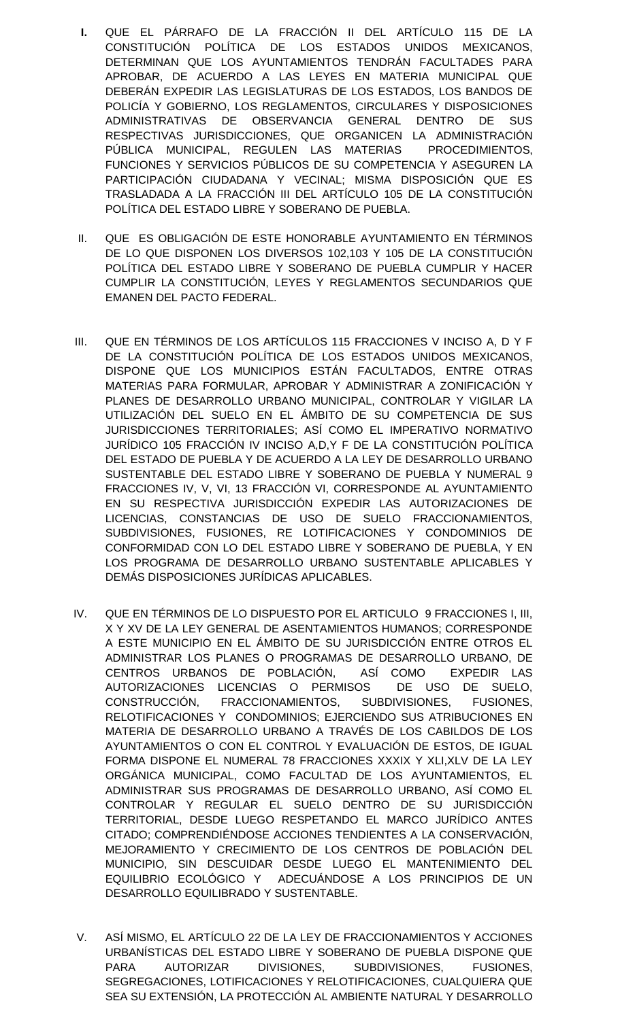- **I.** QUE EL PÁRRAFO DE LA FRACCIÓN II DEL ARTÍCULO 115 DE LA CONSTITUCIÓN POLÍTICA DE LOS ESTADOS UNIDOS MEXICANOS, DETERMINAN QUE LOS AYUNTAMIENTOS TENDRÁN FACULTADES PARA APROBAR, DE ACUERDO A LAS LEYES EN MATERIA MUNICIPAL QUE DEBERÁN EXPEDIR LAS LEGISLATURAS DE LOS ESTADOS, LOS BANDOS DE POLICÍA Y GOBIERNO, LOS REGLAMENTOS, CIRCULARES Y DISPOSICIONES ADMINISTRATIVAS DE OBSERVANCIA GENERAL DENTRO DE SUS RESPECTIVAS JURISDICCIONES, QUE ORGANICEN LA ADMINISTRACIÓN PÚBLICA MUNICIPAL, REGULEN LAS MATERIAS PROCEDIMIENTOS, FUNCIONES Y SERVICIOS PÚBLICOS DE SU COMPETENCIA Y ASEGUREN LA PARTICIPACIÓN CIUDADANA Y VECINAL; MISMA DISPOSICIÓN QUE ES TRASLADADA A LA FRACCIÓN III DEL ARTÍCULO 105 DE LA CONSTITUCIÓN POLÍTICA DEL ESTADO LIBRE Y SOBERANO DE PUEBLA.
- II. QUE ES OBLIGACIÓN DE ESTE HONORABLE AYUNTAMIENTO EN TÉRMINOS DE LO QUE DISPONEN LOS DIVERSOS 102,103 Y 105 DE LA CONSTITUCIÓN POLÍTICA DEL ESTADO LIBRE Y SOBERANO DE PUEBLA CUMPLIR Y HACER CUMPLIR LA CONSTITUCIÓN, LEYES Y REGLAMENTOS SECUNDARIOS QUE EMANEN DEL PACTO FEDERAL.
- III. QUE EN TÉRMINOS DE LOS ARTÍCULOS 115 FRACCIONES V INCISO A, D Y F DE LA CONSTITUCIÓN POLÍTICA DE LOS ESTADOS UNIDOS MEXICANOS, DISPONE QUE LOS MUNICIPIOS ESTÁN FACULTADOS, ENTRE OTRAS MATERIAS PARA FORMULAR, APROBAR Y ADMINISTRAR A ZONIFICACIÓN Y PLANES DE DESARROLLO URBANO MUNICIPAL, CONTROLAR Y VIGILAR LA UTILIZACIÓN DEL SUELO EN EL ÁMBITO DE SU COMPETENCIA DE SUS JURISDICCIONES TERRITORIALES; ASÍ COMO EL IMPERATIVO NORMATIVO JURÍDICO 105 FRACCIÓN IV INCISO A,D,Y F DE LA CONSTITUCIÓN POLÍTICA DEL ESTADO DE PUEBLA Y DE ACUERDO A LA LEY DE DESARROLLO URBANO SUSTENTABLE DEL ESTADO LIBRE Y SOBERANO DE PUEBLA Y NUMERAL 9 FRACCIONES IV, V, VI, 13 FRACCIÓN VI, CORRESPONDE AL AYUNTAMIENTO EN SU RESPECTIVA JURISDICCIÓN EXPEDIR LAS AUTORIZACIONES DE LICENCIAS, CONSTANCIAS DE USO DE SUELO FRACCIONAMIENTOS, SUBDIVISIONES, FUSIONES, RE LOTIFICACIONES Y CONDOMINIOS DE CONFORMIDAD CON LO DEL ESTADO LIBRE Y SOBERANO DE PUEBLA, Y EN LOS PROGRAMA DE DESARROLLO URBANO SUSTENTABLE APLICABLES Y DEMÁS DISPOSICIONES JURÍDICAS APLICABLES.
- IV. QUE EN TÉRMINOS DE LO DISPUESTO POR EL ARTICULO 9 FRACCIONES I, III, X Y XV DE LA LEY GENERAL DE ASENTAMIENTOS HUMANOS; CORRESPONDE A ESTE MUNICIPIO EN EL ÁMBITO DE SU JURISDICCIÓN ENTRE OTROS EL ADMINISTRAR LOS PLANES O PROGRAMAS DE DESARROLLO URBANO, DE CENTROS URBANOS DE POBLACIÓN, ASÍ COMO EXPEDIR LAS AUTORIZACIONES LICENCIAS O PERMISOS DE USO DE SUELO, CONSTRUCCIÓN, FRACCIONAMIENTOS, SUBDIVISIONES, FUSIONES, RELOTIFICACIONES Y CONDOMINIOS; EJERCIENDO SUS ATRIBUCIONES EN MATERIA DE DESARROLLO URBANO A TRAVÉS DE LOS CABILDOS DE LOS AYUNTAMIENTOS O CON EL CONTROL Y EVALUACIÓN DE ESTOS, DE IGUAL FORMA DISPONE EL NUMERAL 78 FRACCIONES XXXIX Y XLI,XLV DE LA LEY ORGÁNICA MUNICIPAL, COMO FACULTAD DE LOS AYUNTAMIENTOS, EL ADMINISTRAR SUS PROGRAMAS DE DESARROLLO URBANO, ASÍ COMO EL CONTROLAR Y REGULAR EL SUELO DENTRO DE SU JURISDICCIÓN TERRITORIAL, DESDE LUEGO RESPETANDO EL MARCO JURÍDICO ANTES CITADO; COMPRENDIÉNDOSE ACCIONES TENDIENTES A LA CONSERVACIÓN, MEJORAMIENTO Y CRECIMIENTO DE LOS CENTROS DE POBLACIÓN DEL MUNICIPIO, SIN DESCUIDAR DESDE LUEGO EL MANTENIMIENTO DEL EQUILIBRIO ECOLÓGICO Y ADECUÁNDOSE A LOS PRINCIPIOS DE UN DESARROLLO EQUILIBRADO Y SUSTENTABLE.
- V. ASÍ MISMO, EL ARTÍCULO 22 DE LA LEY DE FRACCIONAMIENTOS Y ACCIONES URBANÍSTICAS DEL ESTADO LIBRE Y SOBERANO DE PUEBLA DISPONE QUE PARA AUTORIZAR DIVISIONES, SUBDIVISIONES, FUSIONES, SEGREGACIONES, LOTIFICACIONES Y RELOTIFICACIONES, CUALQUIERA QUE SEA SU EXTENSIÓN, LA PROTECCIÓN AL AMBIENTE NATURAL Y DESARROLLO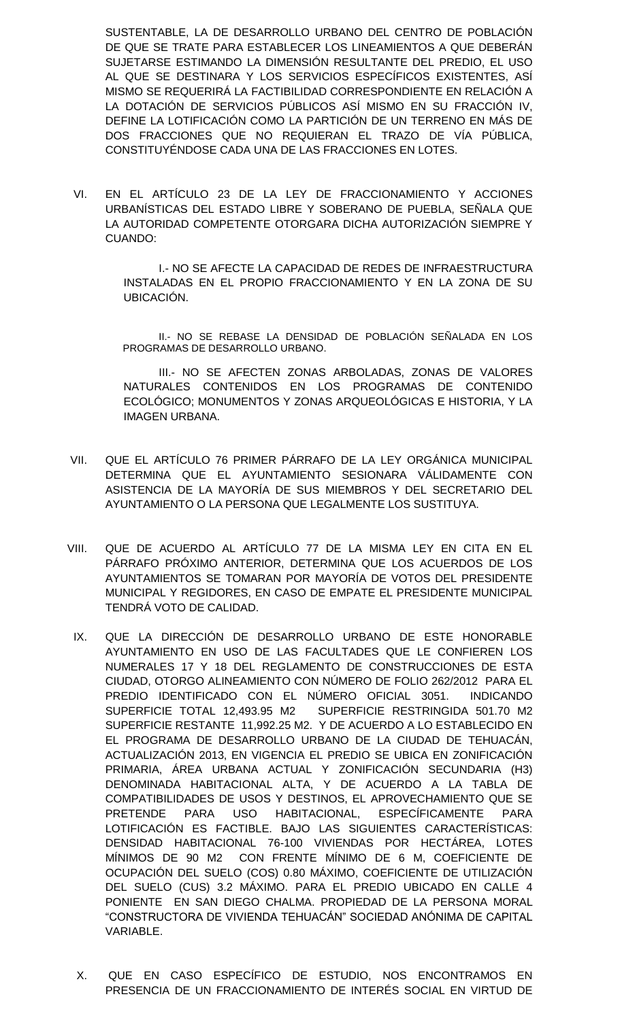SUSTENTABLE, LA DE DESARROLLO URBANO DEL CENTRO DE POBLACIÓN DE QUE SE TRATE PARA ESTABLECER LOS LINEAMIENTOS A QUE DEBERÁN SUJETARSE ESTIMANDO LA DIMENSIÓN RESULTANTE DEL PREDIO, EL USO AL QUE SE DESTINARA Y LOS SERVICIOS ESPECÍFICOS EXISTENTES, ASÍ MISMO SE REQUERIRÁ LA FACTIBILIDAD CORRESPONDIENTE EN RELACIÓN A LA DOTACIÓN DE SERVICIOS PÚBLICOS ASÍ MISMO EN SU FRACCIÓN IV, DEFINE LA LOTIFICACIÓN COMO LA PARTICIÓN DE UN TERRENO EN MÁS DE DOS FRACCIONES QUE NO REQUIERAN EL TRAZO DE VÍA PÚBLICA, CONSTITUYÉNDOSE CADA UNA DE LAS FRACCIONES EN LOTES.

VI. EN EL ARTÍCULO 23 DE LA LEY DE FRACCIONAMIENTO Y ACCIONES URBANÍSTICAS DEL ESTADO LIBRE Y SOBERANO DE PUEBLA, SEÑALA QUE LA AUTORIDAD COMPETENTE OTORGARA DICHA AUTORIZACIÓN SIEMPRE Y CUANDO:

> I.- NO SE AFECTE LA CAPACIDAD DE REDES DE INFRAESTRUCTURA INSTALADAS EN EL PROPIO FRACCIONAMIENTO Y EN LA ZONA DE SU UBICACIÓN.

> II.- NO SE REBASE LA DENSIDAD DE POBLACIÓN SEÑALADA EN LOS PROGRAMAS DE DESARROLLO URBANO.

> III.- NO SE AFECTEN ZONAS ARBOLADAS, ZONAS DE VALORES NATURALES CONTENIDOS EN LOS PROGRAMAS DE CONTENIDO ECOLÓGICO; MONUMENTOS Y ZONAS ARQUEOLÓGICAS E HISTORIA, Y LA IMAGEN URBANA.

- VII. QUE EL ARTÍCULO 76 PRIMER PÁRRAFO DE LA LEY ORGÁNICA MUNICIPAL DETERMINA QUE EL AYUNTAMIENTO SESIONARA VÁLIDAMENTE CON ASISTENCIA DE LA MAYORÍA DE SUS MIEMBROS Y DEL SECRETARIO DEL AYUNTAMIENTO O LA PERSONA QUE LEGALMENTE LOS SUSTITUYA.
- VIII. QUE DE ACUERDO AL ARTÍCULO 77 DE LA MISMA LEY EN CITA EN EL PÁRRAFO PRÓXIMO ANTERIOR, DETERMINA QUE LOS ACUERDOS DE LOS AYUNTAMIENTOS SE TOMARAN POR MAYORÍA DE VOTOS DEL PRESIDENTE MUNICIPAL Y REGIDORES, EN CASO DE EMPATE EL PRESIDENTE MUNICIPAL TENDRÁ VOTO DE CALIDAD.
- IX. QUE LA DIRECCIÓN DE DESARROLLO URBANO DE ESTE HONORABLE AYUNTAMIENTO EN USO DE LAS FACULTADES QUE LE CONFIEREN LOS NUMERALES 17 Y 18 DEL REGLAMENTO DE CONSTRUCCIONES DE ESTA CIUDAD, OTORGO ALINEAMIENTO CON NÚMERO DE FOLIO 262/2012 PARA EL PREDIO IDENTIFICADO CON EL NÚMERO OFICIAL 3051. INDICANDO SUPERFICIE TOTAL 12,493.95 M2 SUPERFICIE RESTRINGIDA 501.70 M2 SUPERFICIE RESTANTE 11,992.25 M2. Y DE ACUERDO A LO ESTABLECIDO EN EL PROGRAMA DE DESARROLLO URBANO DE LA CIUDAD DE TEHUACÁN, ACTUALIZACIÓN 2013, EN VIGENCIA EL PREDIO SE UBICA EN ZONIFICACIÓN PRIMARIA, ÁREA URBANA ACTUAL Y ZONIFICACIÓN SECUNDARIA (H3) DENOMINADA HABITACIONAL ALTA, Y DE ACUERDO A LA TABLA DE COMPATIBILIDADES DE USOS Y DESTINOS, EL APROVECHAMIENTO QUE SE PRETENDE PARA USO HABITACIONAL, ESPECÍFICAMENTE PARA LOTIFICACIÓN ES FACTIBLE. BAJO LAS SIGUIENTES CARACTERÍSTICAS: DENSIDAD HABITACIONAL 76-100 VIVIENDAS POR HECTÁREA, LOTES MÍNIMOS DE 90 M2 CON FRENTE MÍNIMO DE 6 M, COEFICIENTE DE OCUPACIÓN DEL SUELO (COS) 0.80 MÁXIMO, COEFICIENTE DE UTILIZACIÓN DEL SUELO (CUS) 3.2 MÁXIMO. PARA EL PREDIO UBICADO EN CALLE 4 PONIENTE EN SAN DIEGO CHALMA. PROPIEDAD DE LA PERSONA MORAL "CONSTRUCTORA DE VIVIENDA TEHUACÁN" SOCIEDAD ANÓNIMA DE CAPITAL VARIABLE.
- X. QUE EN CASO ESPECÍFICO DE ESTUDIO, NOS ENCONTRAMOS EN PRESENCIA DE UN FRACCIONAMIENTO DE INTERÉS SOCIAL EN VIRTUD DE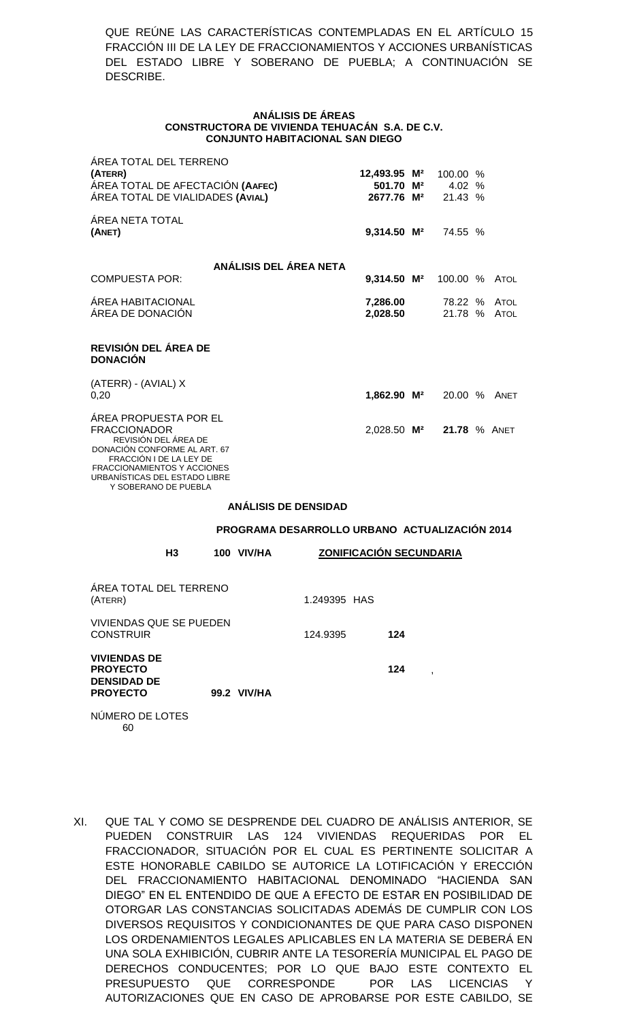QUE REÚNE LAS CARACTERÍSTICAS CONTEMPLADAS EN EL ARTÍCULO 15 FRACCIÓN III DE LA LEY DE FRACCIONAMIENTOS Y ACCIONES URBANÍSTICAS DEL ESTADO LIBRE Y SOBERANO DE PUEBLA; A CONTINUACIÓN SE DESCRIBE.

#### **ANÁLISIS DE ÁREAS CONSTRUCTORA DE VIVIENDA TEHUACÁN S.A. DE C.V. CONJUNTO HABITACIONAL SAN DIEGO**

| ÁREA TOTAL DEL TERRENO<br>(ATERR)<br>ÁREA TOTAL DE AFECTACIÓN (AAFEC)<br>ÁREA TOTAL DE VIALIDADES (AVIAL)                                                                                                                             | 12,493.95 M <sup>2</sup> 100.00 %<br>501.70 M <sup>2</sup><br>2677.76 M <sup>2</sup> | 4.02%<br>21.43 %    |              |
|---------------------------------------------------------------------------------------------------------------------------------------------------------------------------------------------------------------------------------------|--------------------------------------------------------------------------------------|---------------------|--------------|
| ÁREA NETA TOTAL<br>(ANET)                                                                                                                                                                                                             | 9,314.50 M <sup>2</sup>                                                              | 74.55 %             |              |
| ANÁLISIS DEL ÁREA NETA<br><b>COMPUESTA POR:</b>                                                                                                                                                                                       | $9.314.50$ M <sup>2</sup>                                                            | 100.00 %            | ATOL         |
| AREA HABITACIONAL<br>ÁREA DE DONACIÓN                                                                                                                                                                                                 | 7,286.00<br>2,028.50                                                                 | 78.22 %<br>21.78 %  | Atol<br>ATOL |
| <b>REVISIÓN DEL ÁREA DE</b><br><b>DONACIÓN</b>                                                                                                                                                                                        |                                                                                      |                     |              |
| (ATERR) - (AVIAL) X<br>0.20                                                                                                                                                                                                           | 1,862.90 M <sup>2</sup>                                                              | 20.00 %             | ANET         |
| <b>AREA PROPUESTA POR EL</b><br><b>FRACCIONADOR</b><br>REVISIÓN DEL ÁREA DE<br>DONACIÓN CONFORME AL ART. 67<br>FRACCIÓN I DE LA LEY DE<br><b>FRACCIONAMIENTOS Y ACCIONES</b><br>URBANÍSTICAS DEL ESTADO LIBRE<br>Y SOBERANO DE PUEBLA | $2.028.50$ M <sup>2</sup>                                                            | <b>21.78 % ANET</b> |              |
| <b>ANÁLISIS DE DENSIDAD</b>                                                                                                                                                                                                           |                                                                                      |                     |              |

#### **PROGRAMA DESARROLLO URBANO ACTUALIZACIÓN 2014**

|                                                                                 | H <sub>3</sub> | 100 VIV/HA  |              | ZONIFICACIÓN SECUNDARIA |   |  |
|---------------------------------------------------------------------------------|----------------|-------------|--------------|-------------------------|---|--|
| ÁREA TOTAL DEL TERRENO<br>(ATERR)                                               |                |             | 1.249395 HAS |                         |   |  |
| <b>VIVIENDAS QUE SE PUEDEN</b><br><b>CONSTRUIR</b>                              |                |             | 124.9395     | 124                     |   |  |
| <b>VIVIENDAS DE</b><br><b>PROYECTO</b><br><b>DENSIDAD DE</b><br><b>PROYECTO</b> |                | 99.2 VIV/HA |              | 124                     | ٠ |  |
| NÚMERO DE LOTES<br>60                                                           |                |             |              |                         |   |  |

XI. QUE TAL Y COMO SE DESPRENDE DEL CUADRO DE ANÁLISIS ANTERIOR, SE PUEDEN CONSTRUIR LAS 124 VIVIENDAS REQUERIDAS POR EL FRACCIONADOR, SITUACIÓN POR EL CUAL ES PERTINENTE SOLICITAR A ESTE HONORABLE CABILDO SE AUTORICE LA LOTIFICACIÓN Y ERECCIÓN DEL FRACCIONAMIENTO HABITACIONAL DENOMINADO "HACIENDA SAN DIEGO" EN EL ENTENDIDO DE QUE A EFECTO DE ESTAR EN POSIBILIDAD DE OTORGAR LAS CONSTANCIAS SOLICITADAS ADEMÁS DE CUMPLIR CON LOS DIVERSOS REQUISITOS Y CONDICIONANTES DE QUE PARA CASO DISPONEN LOS ORDENAMIENTOS LEGALES APLICABLES EN LA MATERIA SE DEBERÁ EN UNA SOLA EXHIBICIÓN, CUBRIR ANTE LA TESORERÍA MUNICIPAL EL PAGO DE DERECHOS CONDUCENTES; POR LO QUE BAJO ESTE CONTEXTO EL PRESUPUESTO QUE CORRESPONDE POR LAS LICENCIAS Y AUTORIZACIONES QUE EN CASO DE APROBARSE POR ESTE CABILDO, SE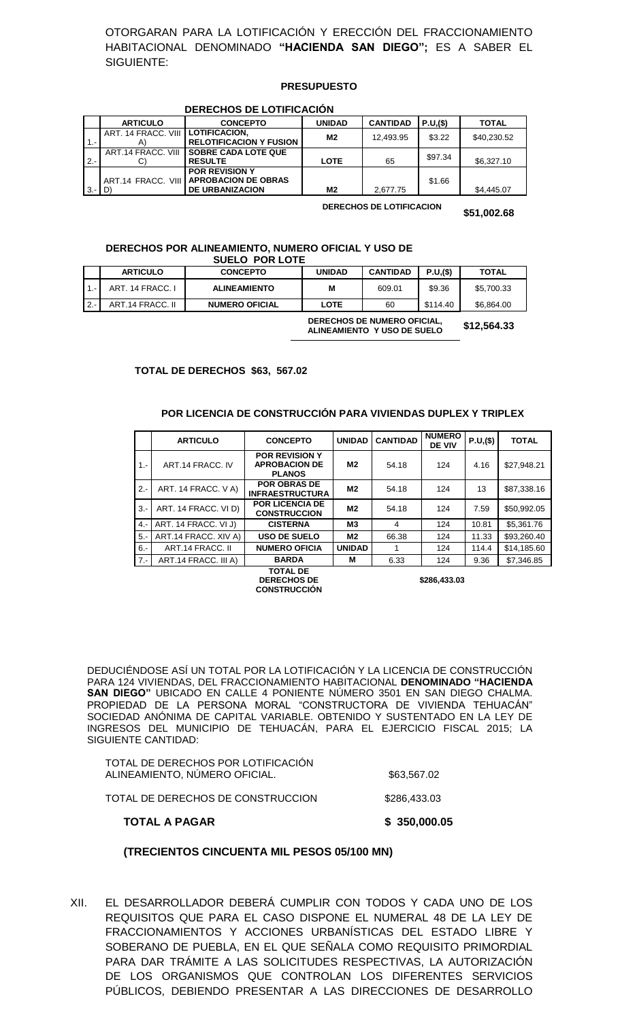OTORGARAN PARA LA LOTIFICACIÓN Y ERECCIÓN DEL FRACCIONAMIENTO HABITACIONAL DENOMINADO **"HACIENDA SAN DIEGO";** ES A SABER EL SIGUIENTE:

#### **PRESUPUESTO**

 $\overline{\phantom{a}}$ 

|            | DERECHOS DE LOTIFICACIÓN                  |                                                                                           |                |                 |          |              |
|------------|-------------------------------------------|-------------------------------------------------------------------------------------------|----------------|-----------------|----------|--------------|
|            | <b>ARTICULO</b>                           | <b>CONCEPTO</b>                                                                           | <b>UNIDAD</b>  | <b>CANTIDAD</b> | P.U.(\$) | <b>TOTAL</b> |
|            | ART. 14 FRACC. VIII   LOTIFICACION,<br>A) | <b>RELOTIFICACION Y FUSION</b>                                                            | M2             | 12.493.95       | \$3.22   | \$40,230.52  |
| $2 -$      | ART.14 FRACC. VIII                        | <b>SOBRE CADA LOTE QUE</b><br><b>RESULTE</b>                                              | <b>LOTE</b>    | 65              | \$97.34  | \$6.327.10   |
| $3 - 1$ D) |                                           | <b>POR REVISION Y</b><br>ART.14 FRACC. VIII APROBACION DE OBRAS<br><b>DE URBANIZACION</b> | M <sub>2</sub> | 2.677.75        | \$1.66   | \$4,445,07   |

**DERECHOS DE LOTIFICACION \$51,002.68**

#### **DERECHOS POR ALINEAMIENTO, NUMERO OFICIAL Y USO DE SUELO POR LOTE**

| OULLO I ON LOIL                                            |                  |                       |               |                 |          |              |  |
|------------------------------------------------------------|------------------|-----------------------|---------------|-----------------|----------|--------------|--|
|                                                            | <b>ARTICULO</b>  | <b>CONCEPTO</b>       | <b>UNIDAD</b> | <b>CANTIDAD</b> | P.U,(\$) | <b>TOTAL</b> |  |
|                                                            | ART. 14 FRACC. I | <b>ALINEAMIENTO</b>   | М             | 609.01          | \$9.36   | \$5,700.33   |  |
| $2 -$                                                      | ART.14 FRACC. II | <b>NUMERO OFICIAL</b> | <b>LOTE</b>   | 60              | \$114.40 | \$6,864.00   |  |
| DERECHOS DE NUMERO OFICIAL,<br>ALINEAMIENTO Y USO DE SUELO |                  |                       |               |                 |          | \$12,564,33  |  |

#### **TOTAL DE DERECHOS \$63, 567.02**

#### **POR LICENCIA DE CONSTRUCCIÓN PARA VIVIENDAS DUPLEX Y TRIPLEX**

|       | <b>ARTICULO</b>      | <b>CONCEPTO</b>                                                | <b>UNIDAD</b>  | <b>CANTIDAD</b> | <b>NUMERO</b><br><b>DE VIV</b>                                                                                                                                                                        | P.U,(\$) | <b>TOTAL</b> |
|-------|----------------------|----------------------------------------------------------------|----------------|-----------------|-------------------------------------------------------------------------------------------------------------------------------------------------------------------------------------------------------|----------|--------------|
| $1 -$ | ART.14 FRACC. IV     | <b>POR REVISION Y</b><br><b>APROBACION DE</b><br><b>PLANOS</b> | M2             | 54.18           | 124                                                                                                                                                                                                   | 4.16     | \$27.948.21  |
| $2 -$ | ART. 14 FRACC. V A)  | <b>POR OBRAS DE</b><br><b>INFRAESTRUCTURA</b>                  | M2             | 54.18           | 124                                                                                                                                                                                                   | 13       | \$87,338.16  |
| $3 -$ | ART. 14 FRACC. VI D) | <b>POR LICENCIA DE</b><br><b>CONSTRUCCION</b>                  | M2             | 54.18           | 124                                                                                                                                                                                                   | 7.59     | \$50.992.05  |
| $4 -$ | ART. 14 FRACC. VI J) | <b>CISTERNA</b>                                                | M <sub>3</sub> | 4               | 124                                                                                                                                                                                                   | 10.81    | \$5,361.76   |
| $5 -$ | ART.14 FRACC, XIV A) | <b>USO DE SUELO</b>                                            | M2             | 66.38           | 124                                                                                                                                                                                                   | 11.33    | \$93.260.40  |
| $6 -$ | ART.14 FRACC. II     | <b>NUMERO OFICIA</b>                                           | <b>UNIDAD</b>  |                 | 124                                                                                                                                                                                                   | 114.4    | \$14.185.60  |
| $7 -$ | ART.14 FRACC. III A) | <b>BARDA</b>                                                   | М              | 6.33            | 124                                                                                                                                                                                                   | 9.36     | \$7,346.85   |
|       |                      | <b>TOTAL DE</b><br>DEDEAUAC DE                                 |                |                 | $\begin{smallmatrix} \color{red}{\mathcal{M}} & \color{red}{\mathcal{M}} & \color{red}{\mathcal{M}} & \color{red}{\mathcal{M}} & \color{red}{\mathcal{M}} \color{red}{\mathcal{M}} \end{smallmatrix}$ |          |              |

**DERECH CONSTRUCCIÓN** **\$286,433.03**

DEDUCIÉNDOSE ASÍ UN TOTAL POR LA LOTIFICACIÓN Y LA LICENCIA DE CONSTRUCCIÓN PARA 124 VIVIENDAS, DEL FRACCIONAMIENTO HABITACIONAL **DENOMINADO "HACIENDA SAN DIEGO"** UBICADO EN CALLE 4 PONIENTE NÚMERO 3501 EN SAN DIEGO CHALMA. PROPIEDAD DE LA PERSONA MORAL "CONSTRUCTORA DE VIVIENDA TEHUACÁN" SOCIEDAD ANÓNIMA DE CAPITAL VARIABLE. OBTENIDO Y SUSTENTADO EN LA LEY DE INGRESOS DEL MUNICIPIO DE TEHUACÁN, PARA EL EJERCICIO FISCAL 2015; LA SIGUIENTE CANTIDAD:

| TOTAL DE DERECHOS POR LOTIFICACIÓN<br>ALINEAMIENTO, NÚMERO OFICIAL. | \$63.567.02  |
|---------------------------------------------------------------------|--------------|
| TOTAL DE DERECHOS DE CONSTRUCCION                                   | \$286.433.03 |

#### **TOTAL A PAGAR \$ 350,000.05**

#### **(TRECIENTOS CINCUENTA MIL PESOS 05/100 MN)**

XII. EL DESARROLLADOR DEBERÁ CUMPLIR CON TODOS Y CADA UNO DE LOS REQUISITOS QUE PARA EL CASO DISPONE EL NUMERAL 48 DE LA LEY DE FRACCIONAMIENTOS Y ACCIONES URBANÍSTICAS DEL ESTADO LIBRE Y SOBERANO DE PUEBLA, EN EL QUE SEÑALA COMO REQUISITO PRIMORDIAL PARA DAR TRÁMITE A LAS SOLICITUDES RESPECTIVAS, LA AUTORIZACIÓN DE LOS ORGANISMOS QUE CONTROLAN LOS DIFERENTES SERVICIOS PÚBLICOS, DEBIENDO PRESENTAR A LAS DIRECCIONES DE DESARROLLO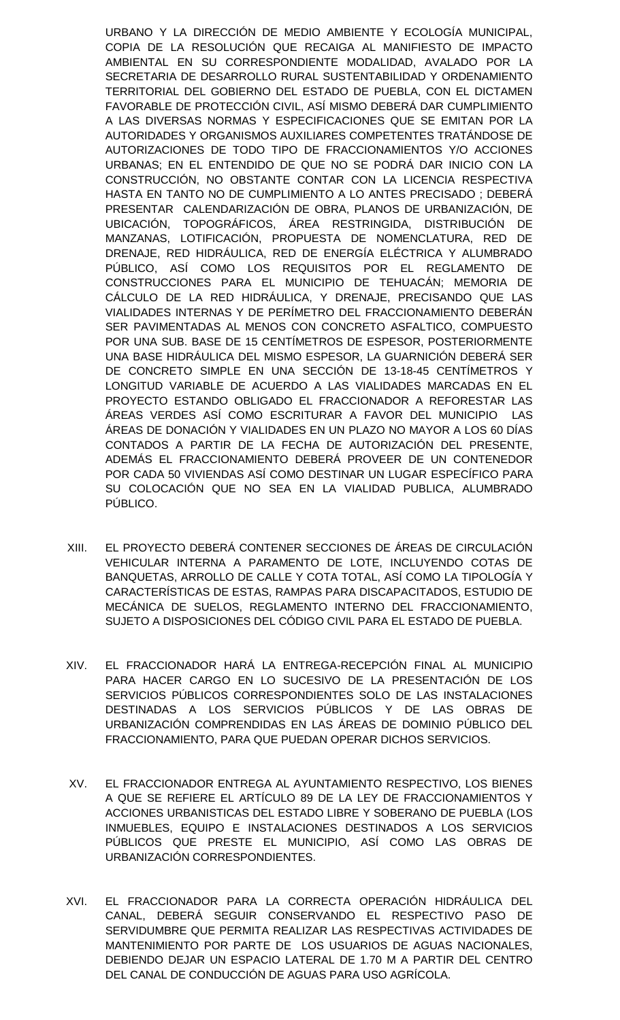URBANO Y LA DIRECCIÓN DE MEDIO AMBIENTE Y ECOLOGÍA MUNICIPAL, COPIA DE LA RESOLUCIÓN QUE RECAIGA AL MANIFIESTO DE IMPACTO AMBIENTAL EN SU CORRESPONDIENTE MODALIDAD, AVALADO POR LA SECRETARIA DE DESARROLLO RURAL SUSTENTABILIDAD Y ORDENAMIENTO TERRITORIAL DEL GOBIERNO DEL ESTADO DE PUEBLA, CON EL DICTAMEN FAVORABLE DE PROTECCIÓN CIVIL, ASÍ MISMO DEBERÁ DAR CUMPLIMIENTO A LAS DIVERSAS NORMAS Y ESPECIFICACIONES QUE SE EMITAN POR LA AUTORIDADES Y ORGANISMOS AUXILIARES COMPETENTES TRATÁNDOSE DE AUTORIZACIONES DE TODO TIPO DE FRACCIONAMIENTOS Y/O ACCIONES URBANAS; EN EL ENTENDIDO DE QUE NO SE PODRÁ DAR INICIO CON LA CONSTRUCCIÓN, NO OBSTANTE CONTAR CON LA LICENCIA RESPECTIVA HASTA EN TANTO NO DE CUMPLIMIENTO A LO ANTES PRECISADO ; DEBERÁ PRESENTAR CALENDARIZACIÓN DE OBRA, PLANOS DE URBANIZACIÓN, DE UBICACIÓN, TOPOGRÁFICOS, ÁREA RESTRINGIDA, DISTRIBUCIÓN DE MANZANAS, LOTIFICACIÓN, PROPUESTA DE NOMENCLATURA, RED DE DRENAJE, RED HIDRÁULICA, RED DE ENERGÍA ELÉCTRICA Y ALUMBRADO PÚBLICO, ASÍ COMO LOS REQUISITOS POR EL REGLAMENTO DE CONSTRUCCIONES PARA EL MUNICIPIO DE TEHUACÁN; MEMORIA DE CÁLCULO DE LA RED HIDRÁULICA, Y DRENAJE, PRECISANDO QUE LAS VIALIDADES INTERNAS Y DE PERÍMETRO DEL FRACCIONAMIENTO DEBERÁN SER PAVIMENTADAS AL MENOS CON CONCRETO ASFALTICO, COMPUESTO POR UNA SUB. BASE DE 15 CENTÍMETROS DE ESPESOR, POSTERIORMENTE UNA BASE HIDRÁULICA DEL MISMO ESPESOR, LA GUARNICIÓN DEBERÁ SER DE CONCRETO SIMPLE EN UNA SECCIÓN DE 13-18-45 CENTÍMETROS Y LONGITUD VARIABLE DE ACUERDO A LAS VIALIDADES MARCADAS EN EL PROYECTO ESTANDO OBLIGADO EL FRACCIONADOR A REFORESTAR LAS ÁREAS VERDES ASÍ COMO ESCRITURAR A FAVOR DEL MUNICIPIO LAS ÁREAS DE DONACIÓN Y VIALIDADES EN UN PLAZO NO MAYOR A LOS 60 DÍAS CONTADOS A PARTIR DE LA FECHA DE AUTORIZACIÓN DEL PRESENTE, ADEMÁS EL FRACCIONAMIENTO DEBERÁ PROVEER DE UN CONTENEDOR POR CADA 50 VIVIENDAS ASÍ COMO DESTINAR UN LUGAR ESPECÍFICO PARA SU COLOCACIÓN QUE NO SEA EN LA VIALIDAD PUBLICA, ALUMBRADO PÚBLICO.

- XIII. EL PROYECTO DEBERÁ CONTENER SECCIONES DE ÁREAS DE CIRCULACIÓN VEHICULAR INTERNA A PARAMENTO DE LOTE, INCLUYENDO COTAS DE BANQUETAS, ARROLLO DE CALLE Y COTA TOTAL, ASÍ COMO LA TIPOLOGÍA Y CARACTERÍSTICAS DE ESTAS, RAMPAS PARA DISCAPACITADOS, ESTUDIO DE MECÁNICA DE SUELOS, REGLAMENTO INTERNO DEL FRACCIONAMIENTO, SUJETO A DISPOSICIONES DEL CÓDIGO CIVIL PARA EL ESTADO DE PUEBLA.
- XIV. EL FRACCIONADOR HARÁ LA ENTREGA-RECEPCIÓN FINAL AL MUNICIPIO PARA HACER CARGO EN LO SUCESIVO DE LA PRESENTACIÓN DE LOS SERVICIOS PÚBLICOS CORRESPONDIENTES SOLO DE LAS INSTALACIONES DESTINADAS A LOS SERVICIOS PÚBLICOS Y DE LAS OBRAS DE URBANIZACIÓN COMPRENDIDAS EN LAS ÁREAS DE DOMINIO PÚBLICO DEL FRACCIONAMIENTO, PARA QUE PUEDAN OPERAR DICHOS SERVICIOS.
- XV. EL FRACCIONADOR ENTREGA AL AYUNTAMIENTO RESPECTIVO, LOS BIENES A QUE SE REFIERE EL ARTÍCULO 89 DE LA LEY DE FRACCIONAMIENTOS Y ACCIONES URBANISTICAS DEL ESTADO LIBRE Y SOBERANO DE PUEBLA (LOS INMUEBLES, EQUIPO E INSTALACIONES DESTINADOS A LOS SERVICIOS PÚBLICOS QUE PRESTE EL MUNICIPIO, ASÍ COMO LAS OBRAS DE URBANIZACIÓN CORRESPONDIENTES.
- XVI. EL FRACCIONADOR PARA LA CORRECTA OPERACIÓN HIDRÁULICA DEL CANAL, DEBERÁ SEGUIR CONSERVANDO EL RESPECTIVO PASO DE SERVIDUMBRE QUE PERMITA REALIZAR LAS RESPECTIVAS ACTIVIDADES DE MANTENIMIENTO POR PARTE DE LOS USUARIOS DE AGUAS NACIONALES, DEBIENDO DEJAR UN ESPACIO LATERAL DE 1.70 M A PARTIR DEL CENTRO DEL CANAL DE CONDUCCIÓN DE AGUAS PARA USO AGRÍCOLA.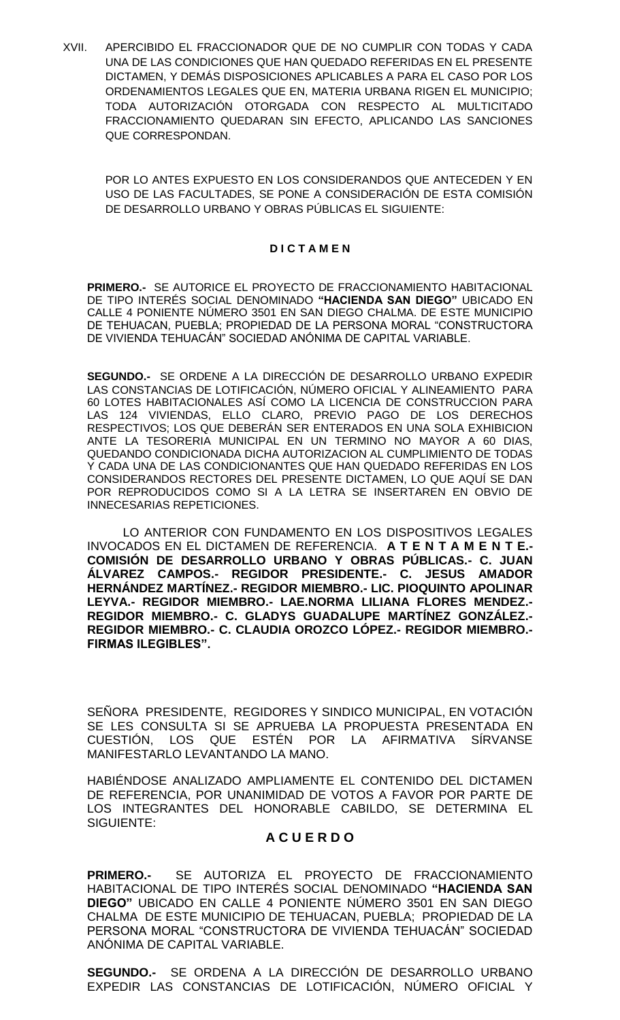XVII. APERCIBIDO EL FRACCIONADOR QUE DE NO CUMPLIR CON TODAS Y CADA UNA DE LAS CONDICIONES QUE HAN QUEDADO REFERIDAS EN EL PRESENTE DICTAMEN, Y DEMÁS DISPOSICIONES APLICABLES A PARA EL CASO POR LOS ORDENAMIENTOS LEGALES QUE EN, MATERIA URBANA RIGEN EL MUNICIPIO; TODA AUTORIZACIÓN OTORGADA CON RESPECTO AL MULTICITADO FRACCIONAMIENTO QUEDARAN SIN EFECTO, APLICANDO LAS SANCIONES QUE CORRESPONDAN.

POR LO ANTES EXPUESTO EN LOS CONSIDERANDOS QUE ANTECEDEN Y EN USO DE LAS FACULTADES, SE PONE A CONSIDERACIÓN DE ESTA COMISIÓN DE DESARROLLO URBANO Y OBRAS PÚBLICAS EL SIGUIENTE:

#### **D I C T A M E N**

**PRIMERO.-** SE AUTORICE EL PROYECTO DE FRACCIONAMIENTO HABITACIONAL DE TIPO INTERÉS SOCIAL DENOMINADO **"HACIENDA SAN DIEGO"** UBICADO EN CALLE 4 PONIENTE NÚMERO 3501 EN SAN DIEGO CHALMA. DE ESTE MUNICIPIO DE TEHUACAN, PUEBLA; PROPIEDAD DE LA PERSONA MORAL "CONSTRUCTORA DE VIVIENDA TEHUACÁN" SOCIEDAD ANÓNIMA DE CAPITAL VARIABLE.

**SEGUNDO.-** SE ORDENE A LA DIRECCIÓN DE DESARROLLO URBANO EXPEDIR LAS CONSTANCIAS DE LOTIFICACIÓN, NÚMERO OFICIAL Y ALINEAMIENTO PARA 60 LOTES HABITACIONALES ASÍ COMO LA LICENCIA DE CONSTRUCCION PARA LAS 124 VIVIENDAS, ELLO CLARO, PREVIO PAGO DE LOS DERECHOS RESPECTIVOS; LOS QUE DEBERÁN SER ENTERADOS EN UNA SOLA EXHIBICION ANTE LA TESORERIA MUNICIPAL EN UN TERMINO NO MAYOR A 60 DIAS, QUEDANDO CONDICIONADA DICHA AUTORIZACION AL CUMPLIMIENTO DE TODAS Y CADA UNA DE LAS CONDICIONANTES QUE HAN QUEDADO REFERIDAS EN LOS CONSIDERANDOS RECTORES DEL PRESENTE DICTAMEN, LO QUE AQUÍ SE DAN POR REPRODUCIDOS COMO SI A LA LETRA SE INSERTAREN EN OBVIO DE INNECESARIAS REPETICIONES.

LO ANTERIOR CON FUNDAMENTO EN LOS DISPOSITIVOS LEGALES INVOCADOS EN EL DICTAMEN DE REFERENCIA. **A T E N T A M E N T E.- COMISIÓN DE DESARROLLO URBANO Y OBRAS PÚBLICAS.- C. JUAN ÁLVAREZ CAMPOS.- REGIDOR PRESIDENTE.- C. JESUS AMADOR HERNÁNDEZ MARTÍNEZ.- REGIDOR MIEMBRO.- LIC. PIOQUINTO APOLINAR LEYVA.- REGIDOR MIEMBRO.- LAE.NORMA LILIANA FLORES MENDEZ.- REGIDOR MIEMBRO.- C. GLADYS GUADALUPE MARTÍNEZ GONZÁLEZ.- REGIDOR MIEMBRO.- C. CLAUDIA OROZCO LÓPEZ.- REGIDOR MIEMBRO.- FIRMAS ILEGIBLES".**

SEÑORA PRESIDENTE, REGIDORES Y SINDICO MUNICIPAL, EN VOTACIÓN SE LES CONSULTA SI SE APRUEBA LA PROPUESTA PRESENTADA EN CUESTIÓN, LOS QUE ESTÉN POR LA AFIRMATIVA SÍRVANSE MANIFESTARLO LEVANTANDO LA MANO.

HABIÉNDOSE ANALIZADO AMPLIAMENTE EL CONTENIDO DEL DICTAMEN DE REFERENCIA, POR UNANIMIDAD DE VOTOS A FAVOR POR PARTE DE LOS INTEGRANTES DEL HONORABLE CABILDO, SE DETERMINA EL SIGUIENTE:

# **A C U E R D O**

**PRIMERO.-** SE AUTORIZA EL PROYECTO DE FRACCIONAMIENTO HABITACIONAL DE TIPO INTERÉS SOCIAL DENOMINADO **"HACIENDA SAN DIEGO"** UBICADO EN CALLE 4 PONIENTE NÚMERO 3501 EN SAN DIEGO CHALMA DE ESTE MUNICIPIO DE TEHUACAN, PUEBLA; PROPIEDAD DE LA PERSONA MORAL "CONSTRUCTORA DE VIVIENDA TEHUACÁN" SOCIEDAD ANÓNIMA DE CAPITAL VARIABLE.

**SEGUNDO.-** SE ORDENA A LA DIRECCIÓN DE DESARROLLO URBANO EXPEDIR LAS CONSTANCIAS DE LOTIFICACIÓN, NÚMERO OFICIAL Y